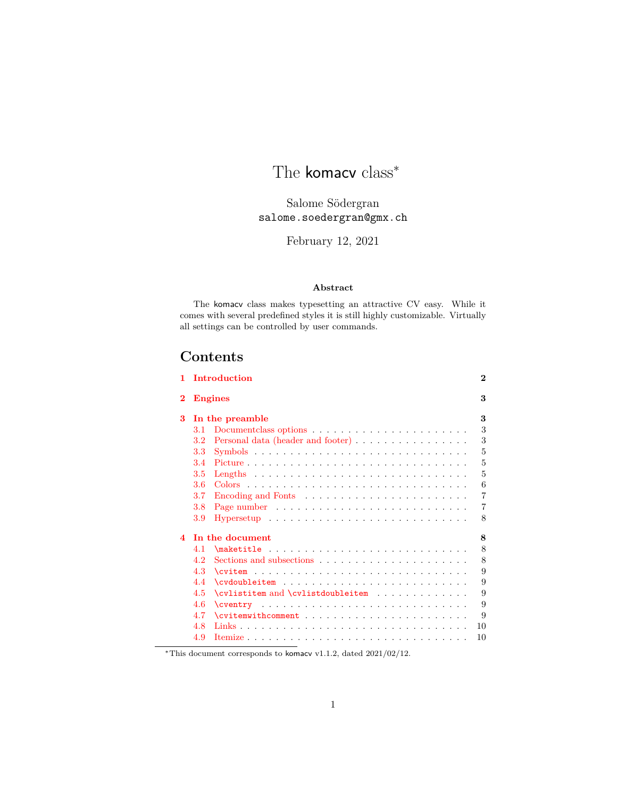# The komacv class<sup>\*</sup>

Salome Södergran salome.soedergran@gmx.ch

February 12, 2021

#### **Abstract**

The komacv class makes typesetting an attractive CV easy. While it comes with several predefined styles it is still highly customizable. Virtually all settings can be controlled by user commands.

# **Contents**

| 1                      | Introduction                                                                           | $\overline{2}$ |
|------------------------|----------------------------------------------------------------------------------------|----------------|
| $\bf{2}$               | <b>Engines</b>                                                                         | 3              |
| 3                      | In the preamble                                                                        | 3              |
|                        | 3.1                                                                                    | 3              |
|                        | Personal data (header and footer)<br>3.2                                               | 3              |
|                        | 3.3                                                                                    | 5              |
|                        | 3.4                                                                                    | 5              |
|                        | 3.5<br>Lengths $\ldots \ldots \ldots \ldots \ldots \ldots \ldots \ldots \ldots \ldots$ | 5              |
|                        | 3.6                                                                                    | 6              |
|                        | 3.7                                                                                    | 7              |
|                        | 3.8                                                                                    | 7              |
|                        | 3.9                                                                                    | 8              |
| $\boldsymbol{\Lambda}$ | In the document                                                                        | 8              |
|                        | 4.1                                                                                    | 8              |
|                        | 4.2                                                                                    | 8              |
|                        | 4.3<br>$\text{Cvitem}$                                                                 | 9              |
|                        | 4.4                                                                                    | 9              |
|                        | 4.5<br>\cvlistitem and \cvlistdoubleitem                                               | 9              |
|                        | 4.6                                                                                    | 9              |
|                        | 4.7<br>$\text{Cvitemwithcomment} \dots \dots \dots \dots \dots \dots \dots \dots$      | 9              |
|                        | 4.8                                                                                    | 10             |
|                        | 4.9                                                                                    | 10             |
|                        |                                                                                        |                |

<sup>∗</sup>This document corresponds to komacv v1.1.2, dated 2021/02/12.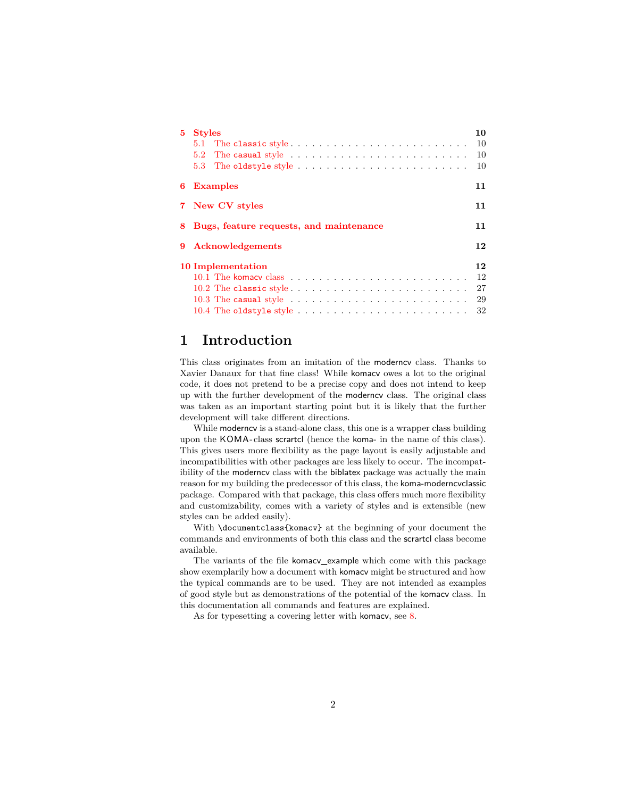| 5                       | <b>Styles</b><br>10                                                                          |    |
|-------------------------|----------------------------------------------------------------------------------------------|----|
|                         | The classic style<br>5.1                                                                     | 10 |
|                         | The casual style $\dots \dots \dots \dots \dots \dots \dots \dots \dots$<br>5.2 <sub>1</sub> | 10 |
|                         | 5.3                                                                                          | 10 |
| 6                       | <b>Examples</b>                                                                              | 11 |
|                         | 7 New CV styles                                                                              | 11 |
| 8                       | Bugs, feature requests, and maintenance                                                      | 11 |
| 9                       | <b>Acknowledgements</b>                                                                      | 12 |
| 12<br>10 Implementation |                                                                                              |    |
|                         |                                                                                              | 12 |
|                         | 10.2 The classic style $\dots \dots \dots \dots \dots \dots \dots \dots \dots \dots$         | 27 |
|                         | 10.3 The casual style $\ldots \ldots \ldots \ldots \ldots \ldots \ldots \ldots$              | 29 |
|                         |                                                                                              | 32 |

# <span id="page-1-0"></span>**1 Introduction**

This class originates from an imitation of the moderncv class. Thanks to Xavier Danaux for that fine class! While komacv owes a lot to the original code, it does not pretend to be a precise copy and does not intend to keep up with the further development of the moderncv class. The original class was taken as an important starting point but it is likely that the further development will take different directions.

While moderncy is a stand-alone class, this one is a wrapper class building upon the KOMA -class scrartcl (hence the koma- in the name of this class). This gives users more flexibility as the page layout is easily adjustable and incompatibilities with other packages are less likely to occur. The incompatibility of the moderncv class with the biblatex package was actually the main reason for my building the predecessor of this class, the koma-moderncvclassic package. Compared with that package, this class offers much more flexibility and customizability, comes with a variety of styles and is extensible (new styles can be added easily).

With \documentclass{komacv} at the beginning of your document the commands and environments of both this class and the scrartcl class become available.

The variants of the file komacv\_example which come with this package show exemplarily how a document with komacv might be structured and how the typical commands are to be used. They are not intended as examples of good style but as demonstrations of the potential of the komacv class. In this documentation all commands and features are explained.

As for typesetting a covering letter with komacv, see [8.](#page-10-2)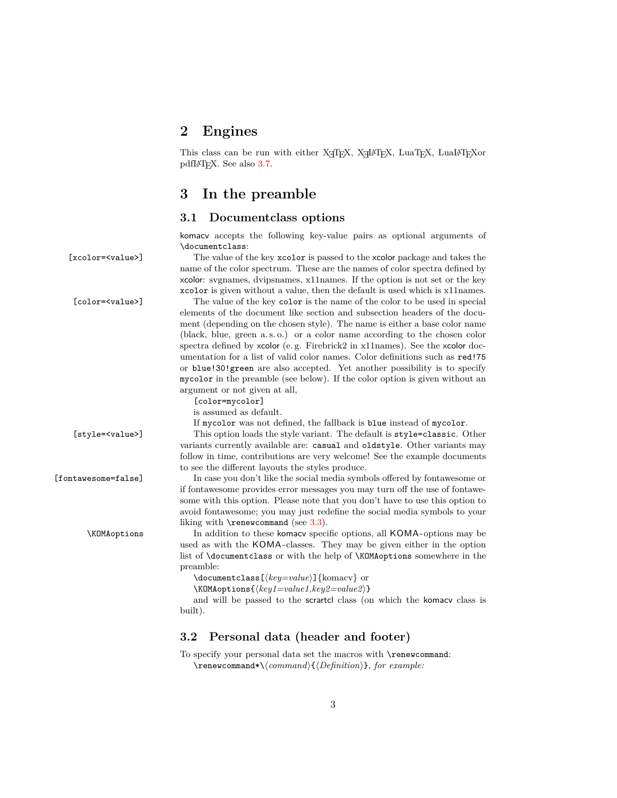# <span id="page-2-0"></span>**2 Engines**

This class can be run with either X<sub>T</sub>T<sub>E</sub>X, X<sub>T</sub>L<sup>A</sup>T<sub>E</sub>X, LuaT<sub>E</sub>X, LuaL<sup>A</sup>T<sub>E</sub>Xor pdfL<sup>AT</sup>FX. See also [3.7.](#page-6-0)

## <span id="page-2-1"></span>**3 In the preamble**

[color=mycolor] is assumed as default.

#### <span id="page-2-2"></span>**3.1 Documentclass options**

komacv accepts the following key-value pairs as optional arguments of \documentclass:

[xcolor=<value>] The value of the key xcolor is passed to the xcolor package and takes the name of the color spectrum. These are the names of color spectra defined by xcolor: svgnames, dvipsnames, x11names. If the option is not set or the key xcolor is given without a value, then the default is used which is x11names.

[color=<value>] The value of the key color is the name of the color to be used in special elements of the document like section and subsection headers of the document (depending on the chosen style). The name is either a base color name (black, blue, green a. s. o.) or a color name according to the chosen color spectra defined by xcolor (e.g. Firebrick2 in x11names). See the xcolor documentation for a list of valid color names. Color definitions such as red!75 or blue!30!green are also accepted. Yet another possibility is to specify mycolor in the preamble (see below). If the color option is given without an argument or not given at all,

If mycolor was not defined, the fallback is blue instead of mycolor.

[style=<value>] This option loads the style variant. The default is style=classic. Other variants currently available are: casual and oldstyle. Other variants may follow in time, contributions are very welcome! See the example documents to see the different layouts the styles produce.

[fontawesome=false] In case you don't like the social media symbols offered by fontawesome or if fontawesome provides error messages you may turn off the use of fontawesome with this option. Please note that you don't have to use this option to avoid fontawesome; you may just redefine the social media symbols to your liking with  $\$ renewcommand (see [3.3\)](#page-4-0).

\KOMAoptions In addition to these komacv specific options, all KOMA -options may be used as with the KOMA -classes. They may be given either in the option list of \documentclass or with the help of \KOMAoptions somewhere in the preamble:

\documentclass[ $\{key=value\}$ ]{komacv} or

 $\kappa$ OMAoptions{ $\langle key1=value1, key2=value2 \rangle$ }

and will be passed to the scrartcl class (on which the komacv class is built).

#### <span id="page-2-3"></span>**3.2 Personal data (header and footer)**

To specify your personal data set the macros with \renewcommand: \renewcommand\*\h*command*i{h*Definition*i}, *for example:*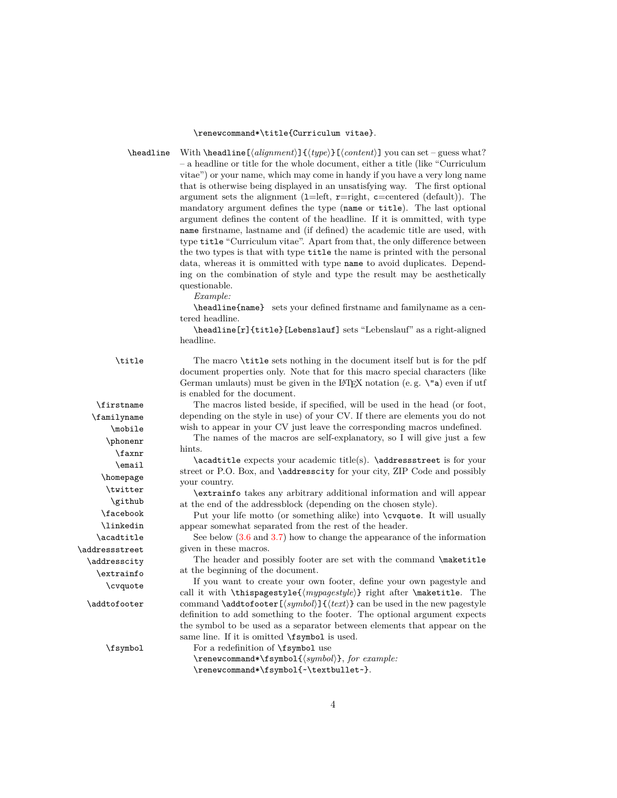#### \renewcommand\*\title{Curriculum vitae}.

\headline With \headline  $[\langle alignment\rangle]{\langle type\rangle}[\langle content\rangle]$  you can set – guess what? – a headline or title for the whole document, either a title (like "Curriculum vitae") or your name, which may come in handy if you have a very long name that is otherwise being displayed in an unsatisfying way. The first optional argument sets the alignment (1=left,  $r=$ right, c=centered (default)). The mandatory argument defines the type (name or title). The last optional argument defines the content of the headline. If it is ommitted, with type name firstname, lastname and (if defined) the academic title are used, with type title "Curriculum vitae". Apart from that, the only difference between the two types is that with type title the name is printed with the personal data, whereas it is ommitted with type name to avoid duplicates. Depending on the combination of style and type the result may be aesthetically questionable.

*Example:*

\headline{name} sets your defined firstname and familyname as a centered headline.

\headline[r]{title}[Lebenslauf] sets "Lebenslauf" as a right-aligned headline.

\title The macro \title sets nothing in the document itself but is for the pdf document properties only. Note that for this macro special characters (like German umlauts) must be given in the LAT<sub>EX</sub> notation (e.g.  $\iota$ "a) even if utf is enabled for the document.

\firstname The macros listed beside, if specified, will be used in the head (or foot, \familyname depending on the style in use) of your CV. If there are elements you do not \mobile wish to appear in your CV just leave the corresponding macros undefined.

> The names of the macros are self-explanatory, so I will give just a few hints.

> \acadtitle expects your academic title(s). \addressstreet is for your street or P.O. Box, and \addresscity for your city, ZIP Code and possibly your country.

> \extrainfo takes any arbitrary additional information and will appear at the end of the addressblock (depending on the chosen style).

> Put your life motto (or something alike) into \cvquote. It will usually appear somewhat separated from the rest of the header.

> See below [\(3.6](#page-5-0) and [3.7\)](#page-6-0) how to change the appearance of the information given in these macros.

> The header and possibly footer are set with the command \maketitle at the beginning of the document.

If you want to create your own footer, define your own pagestyle and call it with \thispagestyle{ $\langle mypagestyle\rangle$ } right after \maketitle. The \addtofooter command \addtofooter  $[\langle symbol \rangle] {\langle text \rangle}$  can be used in the new pagestyle definition to add something to the footer. The optional argument expects the symbol to be used as a separator between elements that appear on the same line. If it is omitted \fsymbol is used.

\fsymbol For a redefinition of \fsymbol use

\renewcommand\*\fsymbol{h*symbol*i}, *for example:* \renewcommand\*\fsymbol{~\textbullet~}.

\phonenr \faxnr \email \homepage \twitter \github \facebook \linkedin \acadtitle \addressstreet \addresscity \extrainfo \cvquote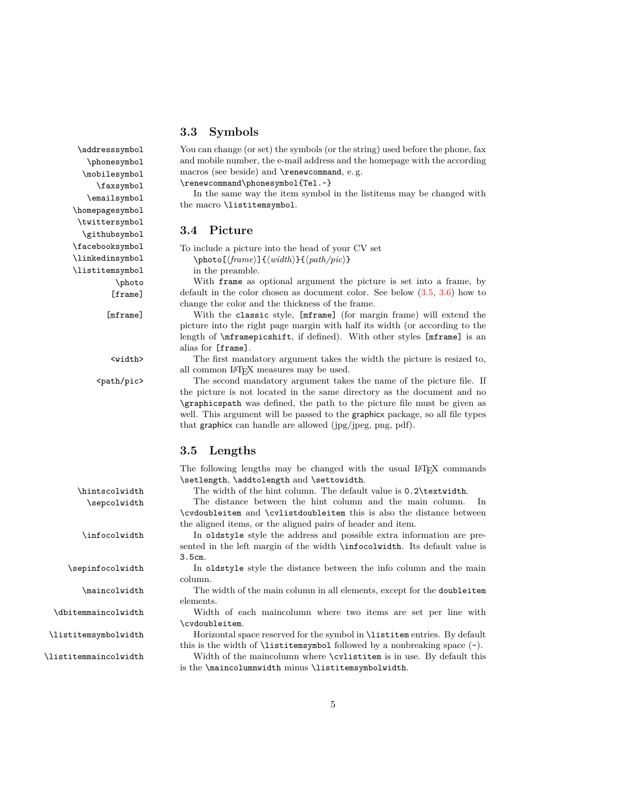#### <span id="page-4-0"></span>**3.3 Symbols**

\addresssymbol You can change (or set) the symbols (or the string) used before the phone, fax and mobile number, the e-mail address and the homepage with the according macros (see beside) and \renewcommand, e. g.

\renewcommand\phonesymbol{Tel.~}

In the same way the item symbol in the listitems may be changed with the macro \listitemsymbol.

#### <span id="page-4-1"></span>**3.4 Picture**

To include a picture into the head of your CV set  $\phi[\langle frame\rangle]\{\langle width\rangle\}\{\langle path/pic\rangle\}$ 

in the preamble.

With frame as optional argument the picture is set into a frame, by [frame] default in the color chosen as document color. See below [\(3.5,](#page-4-2) [3.6\)](#page-5-0) how to change the color and the thickness of the frame.

[mframe] With the classic style, [mframe] (for margin frame) will extend the picture into the right page margin with half its width (or according to the length of \mframepicshift, if defined). With other styles [mframe] is an alias for [frame].

<width> The first mandatory argument takes the width the picture is resized to, all common LATEX measures may be used.

<path/pic> The second mandatory argument takes the name of the picture file. If the picture is not located in the same directory as the document and no \graphicspath was defined, the path to the picture file must be given as well. This argument will be passed to the graphicx package, so all file types that graphicx can handle are allowed (jpg/jpeg, png, pdf).

#### <span id="page-4-2"></span>**3.5 Lengths**

The following lengths may be changed with the usual LAT<sub>E</sub>X commands \setlength, \addtolength and \settowidth.

\hintscolwidth The width of the hint column. The default value is 0.2\textwidth.

\sepcolwidth The distance between the hint column and the main column. In \cvdoubleitem and \cvlistdoubleitem this is also the distance between the aligned items, or the aligned pairs of header and item.

\infocolwidth In oldstyle style the address and possible extra information are presented in the left margin of the width \infocolwidth. Its default value is 3.5cm.

\sepinfocolwidth In oldstyle style the distance between the info column and the main column.

\maincolwidth The width of the main column in all elements, except for the doubleitem elements.

\dbitemmaincolwidth Width of each maincolumn where two items are set per line with \cvdoubleitem.

\listitemsymbolwidth Horizontal space reserved for the symbol in \listitem entries. By default this is the width of  $\listitem symbol followed by a nonbreaking space ( $\sim$ ).$ 

\listitemmaincolwidth Width of the maincolumn where \cvlistitem is in use. By default this is the \maincolumnwidth minus \listitemsymbolwidth.

\phonesymbol \mobilesymbol \faxsymbol \emailsymbol \homepagesymbol \twittersymbol \githubsymbol \facebooksymbol \linkedinsymbol \listitemsymbol \photo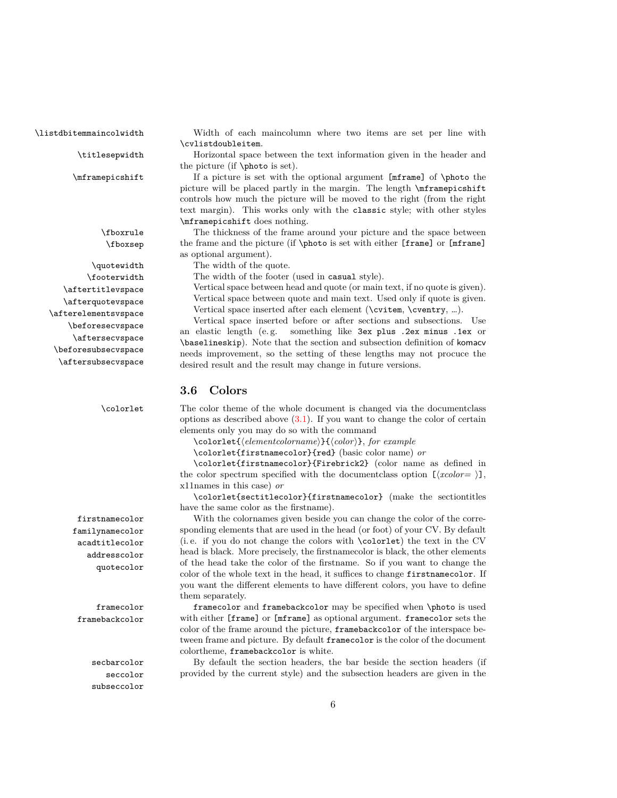\aftersecvspace \beforesubsecvspace \aftersubsecvspace

familynamecolor acadtitlecolor addresscolor quotecolor

seccolor subseccolor

\listdbitemmaincolwidth Width of each maincolumn where two items are set per line with \cvlistdoubleitem.

\titlesepwidth Horizontal space between the text information given in the header and the picture (if \photo is set).

\mframepicshift If a picture is set with the optional argument [mframe] of \photo the picture will be placed partly in the margin. The length \mframepicshift controls how much the picture will be moved to the right (from the right text margin). This works only with the classic style; with other styles \mframepicshift does nothing.

\fboxrule The thickness of the frame around your picture and the space between \fboxsep the frame and the picture (if \photo is set with either [frame] or [mframe] as optional argument).

\quotewidth The width of the quote.

\footerwidth The width of the footer (used in casual style).

\aftertitlevspace Vertical space between head and quote (or main text, if no quote is given). Vertical space between quote and main text. Used only if quote is given. \afterquotevspace \afterelementsvspace Vertical space inserted after each element (\cvitem, \cventry, ...).

Vertical space inserted before or after sections and subsections. Use \beforesecvspace an elastic length (e.g. something like 3ex plus .2ex minus .1ex or \baselineskip). Note that the section and subsection definition of komacv needs improvement, so the setting of these lengths may not procuce the desired result and the result may change in future versions.

#### <span id="page-5-0"></span>**3.6 Colors**

\colorlet The color theme of the whole document is changed via the documentclass options as described above  $(3.1)$ . If you want to change the color of certain elements only you may do so with the command

\colorlet{h*elementcolorname*i}{h*color*i}, *for example*

\colorlet{firstnamecolor}{red} (basic color name) *or*

\colorlet{firstnamecolor}{Firebrick2} (color name as defined in the color spectrum specified with the documentclass option  $[\langle xcolor| \rangle],$ x11names in this case) *or*

\colorlet{sectitlecolor}{firstnamecolor} (make the sectiontitles have the same color as the firstname).

firstnamecolor With the colornames given beside you can change the color of the corresponding elements that are used in the head (or foot) of your CV. By default (i. e. if you do not change the colors with \colorlet) the text in the CV head is black. More precisely, the firstnamecolor is black, the other elements of the head take the color of the firstname. So if you want to change the color of the whole text in the head, it suffices to change firstnamecolor. If you want the different elements to have different colors, you have to define them separately.

framecolor framecolor and framebackcolor may be specified when \photo is used framebackcolor with either [frame] or [mframe] as optional argument. framecolor sets the color of the frame around the picture, framebackcolor of the interspace between frame and picture. By default framecolor is the color of the document colortheme, framebackcolor is white.

secbarcolor By default the section headers, the bar beside the section headers (if provided by the current style) and the subsection headers are given in the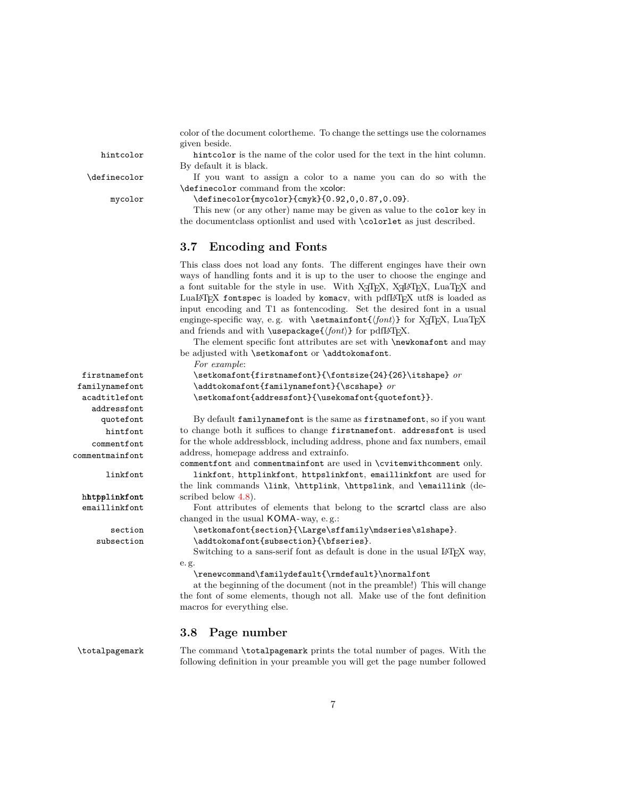addressfont hintfont commentfont commentmainfont

color of the document colortheme. To change the settings use the colornames given beside.

hintcolor hintcolor is the name of the color used for the text in the hint column. By default it is black.

\definecolor If you want to assign a color to a name you can do so with the \definecolor command from the xcolor:

mycolor \definecolor{mycolor}{cmyk}{0.92,0,0.87,0.09}.

This new (or any other) name may be given as value to the color key in the documentclass optionlist and used with \colorlet as just described.

#### <span id="page-6-0"></span>**3.7 Encoding and Fonts**

This class does not load any fonts. The different enginges have their own ways of handling fonts and it is up to the user to choose the enginge and a font suitable for the style in use. With  $X_{\overline{A}}T_{\overline{E}}X$ ,  $X_{\overline{A}}T_{\overline{E}}X$ ,  $\text{LuaT}_{\overline{E}}X$  and LuaLAT<sub>E</sub>X fontspec is loaded by komacv, with pdfLAT<sub>E</sub>X utf8 is loaded as input encoding and T1 as fontencoding. Set the desired font in a usual enginge-specific way, e.g. with \setmainfont{ $\{ \font{font} \}$  for X TEX, LuaTEX and friends and with  $\usepackage{\forall int}$  for pdfLAT<sub>EX</sub>.

The element specific font attributes are set with **\newkomafont** and may be adjusted with \setkomafont or \addtokomafont.

*For example*:

```
firstnamefont \setkomafont{firstnamefont}{\fontsize{24}{26}\itshape} or
familynamefont \addtokomafont{familynamefont}{\scshape} or
acadtitlefont \setkomafont{addressfont}{\usekomafont{quotefont}}.
```
quotefont By default familynamefont is the same as firstnamefont, so if you want to change both it suffices to change firstnamefont. addressfont is used for the whole addressblock, including address, phone and fax numbers, email address, homepage address and extrainfo.

commentfont and commentmainfont are used in \cvitemwithcomment only.

linkfont linkfont, httplinkfont, httpslinkfont, emaillinkfont are used for the link commands \link, \httplink, \httpslink, and \emaillink (dehttpslinkfont scribed below  $4.8$ ).

emaillinkfont Font attributes of elements that belong to the scrartcl class are also changed in the usual KOMA-way, e.g.:

section \setkomafont{section}{\Large\sffamily\mdseries\slshape}.

subsection \addtokomafont{subsection}{\bfseries}.

Switching to a sans-serif font as default is done in the usual LAT<sub>E</sub>X way, e. g.

\renewcommand\familydefault{\rmdefault}\normalfont

at the beginning of the document (not in the preamble!) This will change the font of some elements, though not all. Make use of the font definition macros for everything else.

#### <span id="page-6-1"></span>**3.8 Page number**

\totalpagemark The command \totalpagemark prints the total number of pages. With the following definition in your preamble you will get the page number followed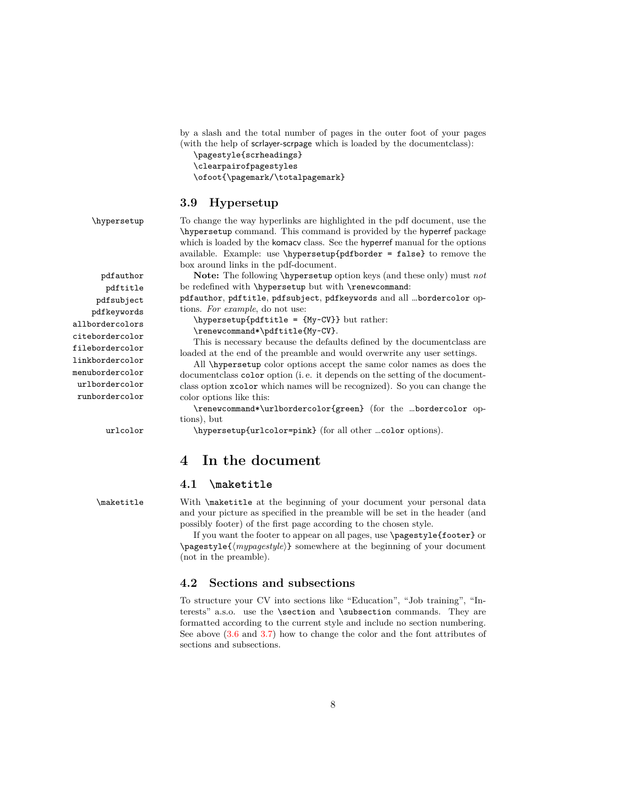by a slash and the total number of pages in the outer foot of your pages (with the help of scrlayer-scrpage which is loaded by the documentclass):

\pagestyle{scrheadings} \clearpairofpagestyles \ofoot{\pagemark/\totalpagemark}

#### <span id="page-7-0"></span>**3.9 Hypersetup**

pdftitle pdfsubject pdfkeywords citebordercolor filebordercolor linkbordercolor menubordercolor urlbordercolor runbordercolor

\hypersetup To change the way hyperlinks are highlighted in the pdf document, use the \hypersetup command. This command is provided by the hyperref package which is loaded by the komacv class. See the hyperref manual for the options available. Example: use \hypersetup{pdfborder = false} to remove the box around links in the pdf-document.

pdfauthor **Note:** The following \hypersetup option keys (and these only) must *not* be redefined with \hypersetup but with \renewcommand:

> pdfauthor, pdftitle, pdfsubject, pdfkeywords and all …bordercolor options. *For example*, do not use:

allbordercolors \hypersetup{pdftitle = {My~CV}} but rather:

\renewcommand\*\pdftitle{My~CV}.

This is necessary because the defaults defined by the documentclass are loaded at the end of the preamble and would overwrite any user settings.

All \hypersetup color options accept the same color names as does the documentclass color option (i. e. it depends on the setting of the documentclass option xcolor which names will be recognized). So you can change the color options like this:

\renewcommand\*\urlbordercolor{green} (for the …bordercolor options), but

urlcolor \hypersetup{urlcolor=pink} (for all other …color options).

# <span id="page-7-1"></span>**4 In the document**

#### <span id="page-7-2"></span>**4.1 \maketitle**

\maketitle With \maketitle at the beginning of your document your personal data and your picture as specified in the preamble will be set in the header (and possibly footer) of the first page according to the chosen style.

> If you want the footer to appear on all pages, use \pagestyle{footer} or \pagestyle{/mypagestyle}} somewhere at the beginning of your document (not in the preamble).

#### <span id="page-7-3"></span>**4.2 Sections and subsections**

To structure your CV into sections like "Education", "Job training", "Interests" a.s.o. use the \section and \subsection commands. They are formatted according to the current style and include no section numbering. See above [\(3.6](#page-5-0) and [3.7\)](#page-6-0) how to change the color and the font attributes of sections and subsections.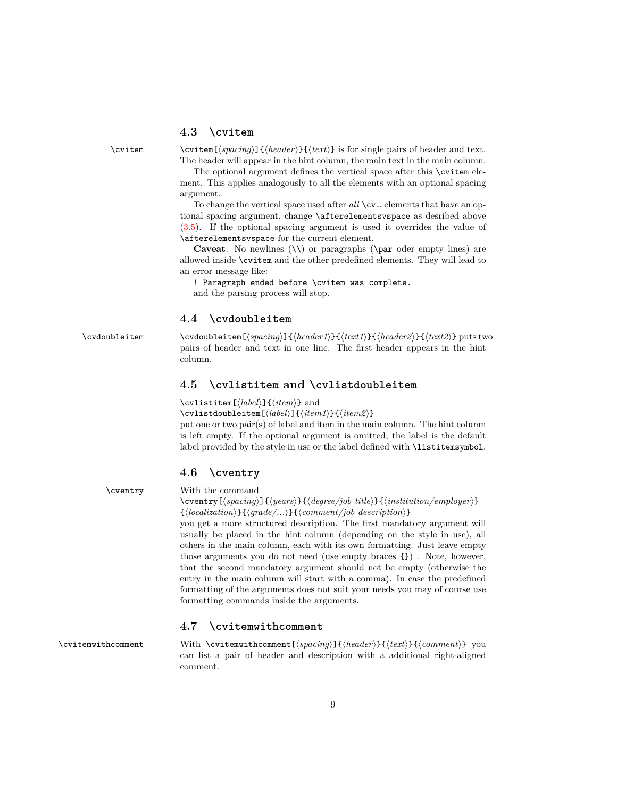#### <span id="page-8-0"></span>**4.3 \cvitem**

\cvitem \cvitem  $\{\langle spacing\rangle\} {\langle heat\rangle\}$  is for single pairs of header and text. The header will appear in the hint column, the main text in the main column.

> The optional argument defines the vertical space after this \cvitem element. This applies analogously to all the elements with an optional spacing argument.

> To change the vertical space used after all \cv... elements that have an optional spacing argument, change \afterelementsvspace as desribed above [\(3.5\)](#page-4-2). If the optional spacing argument is used it overrides the value of \afterelementsvspace for the current element.

> **Caveat**: No newlines (\\) or paragraphs (\par oder empty lines) are allowed inside \cvitem and the other predefined elements. They will lead to an error message like:

! Paragraph ended before \cvitem was complete.

and the parsing process will stop.

#### <span id="page-8-1"></span>**4.4 \cvdoubleitem**

\cvdoubleitem \cvdoubleitem [\spacing\]{\header1\}}{\header2\}}{\header2\}} puts two pairs of header and text in one line. The first header appears in the hint column.

#### <span id="page-8-2"></span>**4.5 \cvlistitem and \cvlistdoubleitem**

\cvlistitem[ $\langle label \rangle$ ]{\*item*}} and

\cvlistdoubleitem[ $\langle label \rangle$ ]{ $\langle item1 \rangle$ }{ $\langle item2 \rangle$ }

put one or two pair(s) of label and item in the main column. The hint column is left empty. If the optional argument is omitted, the label is the default label provided by the style in use or the label defined with \listitemsymbol.

#### <span id="page-8-3"></span>**4.6 \cventry**

\cventry With the command

\cventry[ $\langle spacing \rangle$ ]{ $\langle years \rangle$ }{ $\langle degree/job \ title \rangle$ }{ $\langle institution/employee \rangle$ }  ${\{(localization)\}}{\{grade/\ldots\}}$ }{\comment/job description\}

you get a more structured description. The first mandatory argument will usually be placed in the hint column (depending on the style in use), all others in the main column, each with its own formatting. Just leave empty those arguments you do not need (use empty braces {}) . Note, however, that the second mandatory argument should not be empty (otherwise the entry in the main column will start with a comma). In case the predefined formatting of the arguments does not suit your needs you may of course use formatting commands inside the arguments.

#### <span id="page-8-4"></span>**4.7 \cvitemwithcomment**

\cvitemwithcomment With \cvitemwithcomment[\*spacing*}]{\header\}}{\text\}{\comment\}} you can list a pair of header and description with a additional right-aligned comment.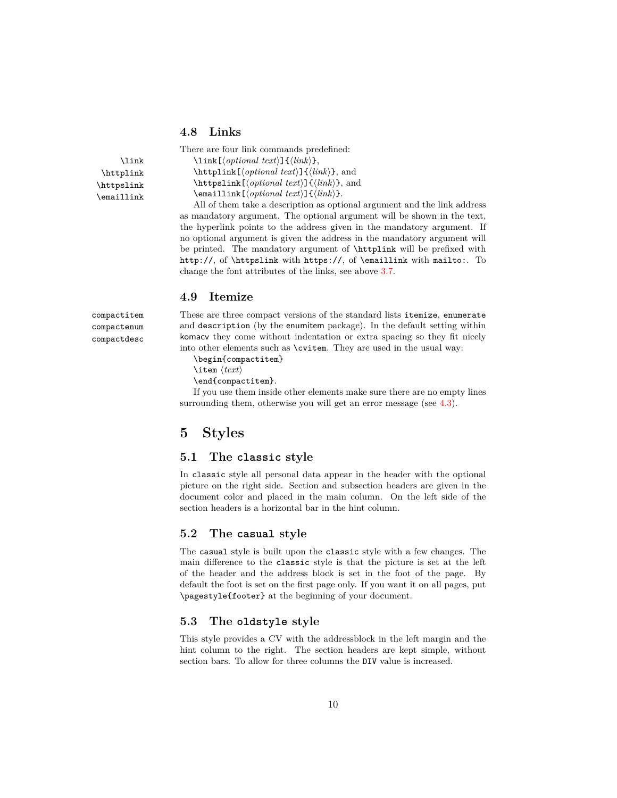#### <span id="page-9-0"></span>**4.8 Links**

\httplink \httpslink \emaillink

compactenum compactdesc

There are four link commands predefined:  $\lambda$ ink  $\lambda$ ink $[\langle optimal \ text\rangle]{\langle link\rangle},$  $\hbar$ ttplink[ $\{optional \text{text}\}$ } $\{ \text{link}\}$ , and  $\hbar$ ttpslink $[\langle optimal \ text\rangle]{\langle link \rangle},$  and  $\text{lemaillink}$ [ $\{optional \text{text}\}$ ]{ $\{link\}$ .

All of them take a description as optional argument and the link address as mandatory argument. The optional argument will be shown in the text, the hyperlink points to the address given in the mandatory argument. If no optional argument is given the address in the mandatory argument will be printed. The mandatory argument of \httplink will be prefixed with http://, of \httpslink with https://, of \emaillink with mailto:. To change the font attributes of the links, see above [3.7.](#page-6-0)

#### <span id="page-9-1"></span>**4.9 Itemize**

compactitem These are three compact versions of the standard lists itemize, enumerate and description (by the enumitem package). In the default setting within komacv they come without indentation or extra spacing so they fit nicely into other elements such as \cvitem. They are used in the usual way:

\begin{compactitem}

\item  $\langle text \rangle$ 

\end{compactitem}.

If you use them inside other elements make sure there are no empty lines surrounding them, otherwise you will get an error message (see [4.3\)](#page-8-0).

# <span id="page-9-2"></span>**5 Styles**

#### <span id="page-9-3"></span>**5.1 The classic style**

In classic style all personal data appear in the header with the optional picture on the right side. Section and subsection headers are given in the document color and placed in the main column. On the left side of the section headers is a horizontal bar in the hint column.

#### <span id="page-9-4"></span>**5.2 The casual style**

The casual style is built upon the classic style with a few changes. The main difference to the classic style is that the picture is set at the left of the header and the address block is set in the foot of the page. By default the foot is set on the first page only. If you want it on all pages, put \pagestyle{footer} at the beginning of your document.

#### <span id="page-9-5"></span>**5.3 The oldstyle style**

This style provides a CV with the addressblock in the left margin and the hint column to the right. The section headers are kept simple, without section bars. To allow for three columns the DIV value is increased.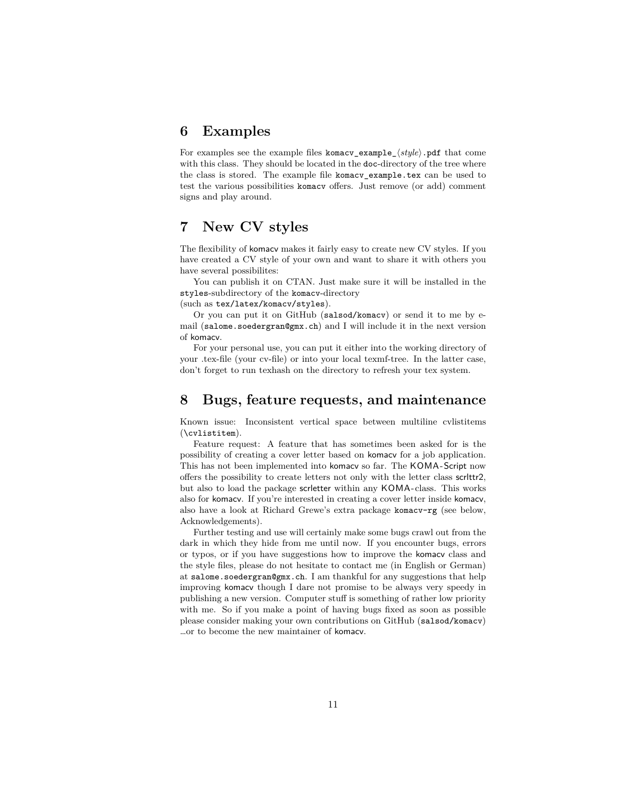# <span id="page-10-0"></span>**6 Examples**

For examples see the example files komacv\_example\_ $\langle style\rangle$ .pdf that come with this class. They should be located in the doc-directory of the tree where the class is stored. The example file komacv\_example.tex can be used to test the various possibilities komacv offers. Just remove (or add) comment signs and play around.

# <span id="page-10-1"></span>**7 New CV styles**

The flexibility of komacv makes it fairly easy to create new CV styles. If you have created a CV style of your own and want to share it with others you have several possibilites:

You can publish it on CTAN. Just make sure it will be installed in the styles-subdirectory of the komacv-directory

(such as tex/latex/komacv/styles).

Or you can put it on GitHub (salsod/komacv) or send it to me by email (salome.soedergran@gmx.ch) and I will include it in the next version of komacv.

For your personal use, you can put it either into the working directory of your .tex-file (your cv-file) or into your local texmf-tree. In the latter case, don't forget to run texhash on the directory to refresh your tex system.

# <span id="page-10-2"></span>**8 Bugs, feature requests, and maintenance**

Known issue: Inconsistent vertical space between multiline cvlistitems (\cvlistitem).

Feature request: A feature that has sometimes been asked for is the possibility of creating a cover letter based on komacv for a job application. This has not been implemented into komacv so far. The KOMA-Script now offers the possibility to create letters not only with the letter class scrlttr2, but also to load the package scrletter within any KOMA -class. This works also for komacv. If you're interested in creating a cover letter inside komacv, also have a look at Richard Grewe's extra package komacv-rg (see below, Acknowledgements).

Further testing and use will certainly make some bugs crawl out from the dark in which they hide from me until now. If you encounter bugs, errors or typos, or if you have suggestions how to improve the komacv class and the style files, please do not hesitate to contact me (in English or German) at salome.soedergran@gmx.ch. I am thankful for any suggestions that help improving komacv though I dare not promise to be always very speedy in publishing a new version. Computer stuff is something of rather low priority with me. So if you make a point of having bugs fixed as soon as possible please consider making your own contributions on GitHub (salsod/komacv) …or to become the new maintainer of komacv.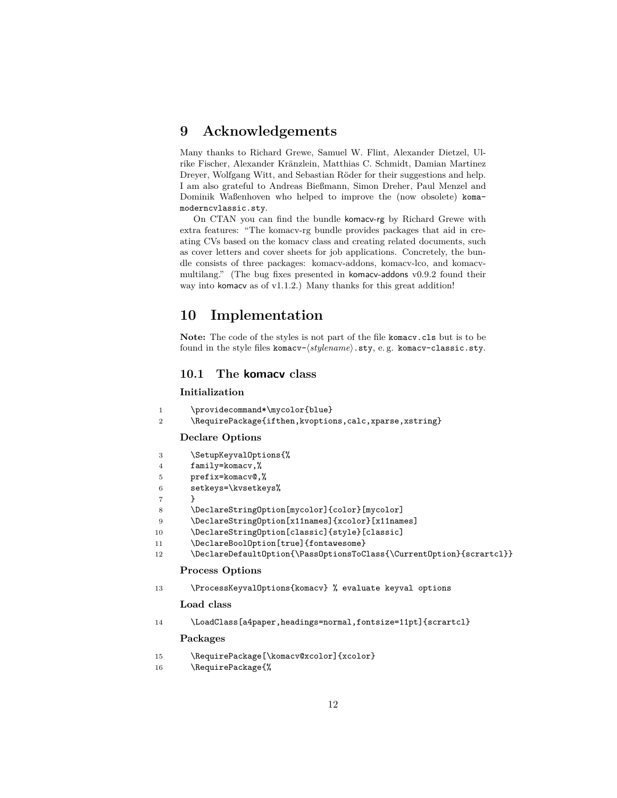# <span id="page-11-0"></span>**9 Acknowledgements**

Many thanks to Richard Grewe, Samuel W. Flint, Alexander Dietzel, Ulrike Fischer, Alexander Kränzlein, Matthias C. Schmidt, Damian Martinez Dreyer, Wolfgang Witt, and Sebastian Röder for their suggestions and help. I am also grateful to Andreas Bießmann, Simon Dreher, Paul Menzel and Dominik Waßenhoven who helped to improve the (now obsolete) komamoderncvlassic.sty.

On CTAN you can find the bundle komacv-rg by Richard Grewe with extra features: "The komacv-rg bundle provides packages that aid in creating CVs based on the komacv class and creating related documents, such as cover letters and cover sheets for job applications. Concretely, the bundle consists of three packages: komacv-addons, komacv-lco, and komacvmultilang." (The bug fixes presented in komacv-addons v0.9.2 found their way into komacv as of v1.1.2.) Many thanks for this great addition!

# <span id="page-11-1"></span>**10 Implementation**

**Note:** The code of the styles is not part of the file komacv.cls but is to be found in the style files komacv- $\langle stylename\rangle$ .sty, e.g. komacv-classic.sty.

#### <span id="page-11-2"></span>**10.1 The komacv class**

#### **Initialization**

|  | \providecommand*\mycolor{blue} |
|--|--------------------------------|
|--|--------------------------------|

```
2 \RequirePackage{ifthen,kvoptions,calc,xparse,xstring}
```
#### **Declare Options**

| 3              | \SetupKeyvalOptions{%                                                |
|----------------|----------------------------------------------------------------------|
| $\overline{4}$ | family=komacv,%                                                      |
| 5              | $prefix=komacy@$ ,%                                                  |
| 6              | setkeys=\kvsetkeys%                                                  |
|                |                                                                      |
| 8              | \DeclareStringOption[mycolor]{color}[mycolor]                        |
| 9              | \DeclareStringOption[x11names]{xcolor}[x11names]                     |
| 10             | \DeclareStringOption[classic]{style}[classic]                        |
| 11             | \DeclareBoolOption[true]{fontawesome}                                |
| 12             | \DeclareDefaultOption{\PassOptionsToClass{\CurrentOption}{scrartcl}} |
|                | <b>Process Options</b>                                               |
| 13             | \ProcessKeyvalOptions{komacv} % evaluate keyval options              |
|                | Load class                                                           |
|                |                                                                      |

14 \LoadClass[a4paper,headings=normal,fontsize=11pt]{scrartcl}

#### **Packages**

| 15             | \RequirePackage[\komacv@xcolor]{xcolor} |
|----------------|-----------------------------------------|
| 1 <sup>C</sup> | $\Omega$                                |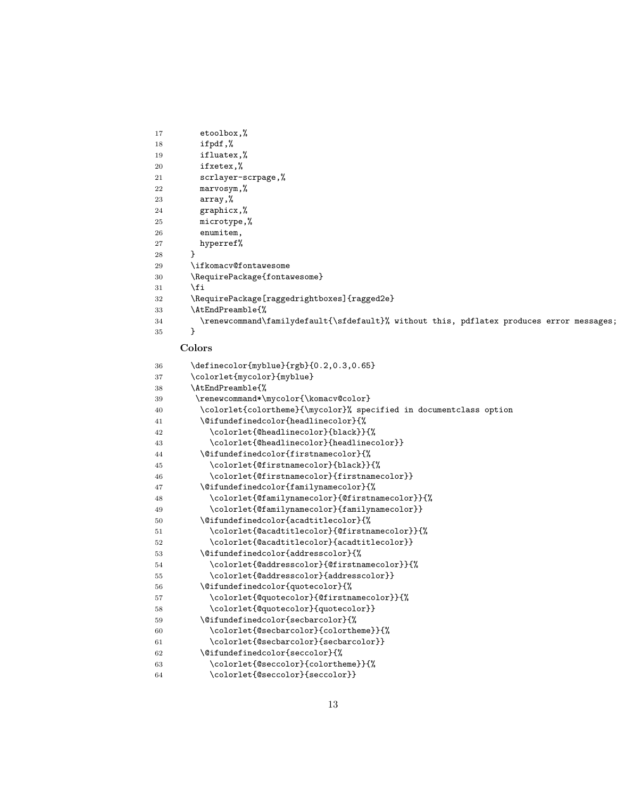```
17 etoolbox,%
18 ifpdf,%
19 ifluatex,%
20 ifxetex,%
21 scrlayer-scrpage,%
22 marvosym,%
23 array,%
24 graphicx,%
25 microtype,%
26 enumitem,
27 hyperref%
28 }
29 \ifkomacv@fontawesome
30 \RequirePackage{fontawesome}
31 \fi
32 \RequirePackage[raggedrightboxes]{ragged2e}
33 \AtEndPreamble{%
34 \renewcommand\familydefault{\sfdefault}% without this, pdflatex produces error messages;
35 }
    Colors
36 \definecolor{myblue}{rgb}{0.2,0.3,0.65}
37 \colorlet{mycolor}{myblue}
38 \AtEndPreamble{%
39 \renewcommand*\mycolor{\komacv@color}
40 \colorlet{colortheme}{\mycolor}% specified in documentclass option
41 \@ifundefinedcolor{headlinecolor}{%
42 \colorlet{@headlinecolor}{black}}{%
43 \colorlet{@headlinecolor}{headlinecolor}}
44 \@ifundefinedcolor{firstnamecolor}{%
45 \colorlet{@firstnamecolor}{black}}{%
46 \colorlet{@firstnamecolor}{firstnamecolor}}
47 \@ifundefinedcolor{familynamecolor}{%
48 \colorlet{@familynamecolor}{@firstnamecolor}}{%
49 \colorlet{@familynamecolor}{familynamecolor}}
50 \@ifundefinedcolor{acadtitlecolor}{%
51 \colorlet{@acadtitlecolor}{@firstnamecolor}}{%
52 \colorlet{@acadtitlecolor}{acadtitlecolor}}
53 \@ifundefinedcolor{addresscolor}{%
54 \colorlet{@addresscolor}{@firstnamecolor}}{%
55 \colorlet{@addresscolor}{addresscolor}}
56 \@ifundefinedcolor{quotecolor}{%
57 \colorlet{@quotecolor}{@firstnamecolor}}{%
58 \colorlet{@quotecolor}{quotecolor}}
59 \@ifundefinedcolor{secbarcolor}{%
60 \colorlet{@secbarcolor}{colortheme}}{%
61 \colorlet{@secbarcolor}{secbarcolor}}
62 \@ifundefinedcolor{seccolor}{%
63 \colorlet{@seccolor}{colortheme}}{%
64 \colorlet{@seccolor}{seccolor}}
```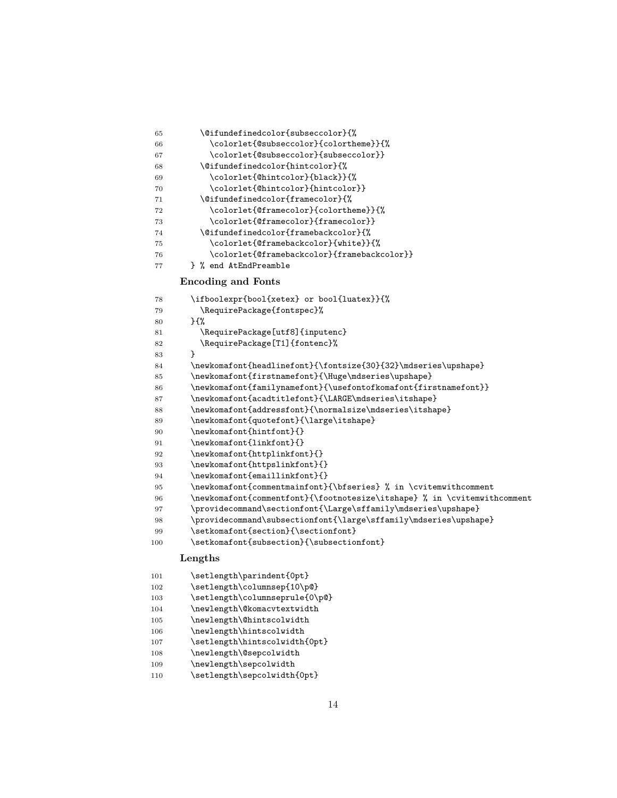| 65 | \@ifundefinedcolor{subseccolor}{%           |
|----|---------------------------------------------|
| 66 | \colorlet{@subseccolor}{colortheme}}{%      |
| 67 | \colorlet{@subseccolor}{subseccolor}}       |
| 68 | \@ifundefinedcolor{hintcolor}{%             |
| 69 | \colorlet{@hintcolor}{black}}{%             |
| 70 | \colorlet{@hintcolor}{hintcolor}}           |
| 71 | \@ifundefinedcolor{framecolor}{%            |
| 72 | \colorlet{@framecolor}{colortheme}}{%       |
| 73 | \colorlet{@framecolor}{framecolor}}         |
| 74 | \@ifundefinedcolor{framebackcolor}{%        |
| 75 | \colorlet{@framebackcolor}{white}}{%        |
| 76 | \colorlet{@framebackcolor}{framebackcolor}} |
| 77 | } % end AtEndPreamble                       |

#### **Encoding and Fonts**

| 78  | \ifboolexpr{bool{xetex} or bool{luatex}}{%                               |
|-----|--------------------------------------------------------------------------|
| 79  | \RequirePackage{fontspec}%                                               |
| 80  | $H^{\prime}$                                                             |
| 81  | \RequirePackage[utf8]{inputenc}                                          |
| 82  | \RequirePackage[T1]{fontenc}%                                            |
| 83  | ł                                                                        |
| 84  | \newkomafont{headlinefont}{\fontsize{30}{32}\mdseries\upshape}           |
| 85  | \newkomafont{firstnamefont}{\Huge\mdseries\upshape}                      |
| 86  | $\newkomafont{familyname} {\usefontofkomafont{firstnamefont}}$           |
| 87  | \newkomafont{acadtitlefont}{\LARGE\mdseries\itshape}                     |
| 88  | \newkomafont{addressfont}{\normalsize\mdseries\itshape}                  |
| 89  | \newkomafont{quotefont}{\large\itshape}                                  |
| 90  | \newkomafont{hintfont}{}                                                 |
| 91  | \newkomafont{linkfont}{}                                                 |
| 92  | \newkomafont{httplinkfont}{}                                             |
| 93  | \newkomafont{httpslinkfont}{}                                            |
| 94  | \newkomafont{emaillinkfont}{}                                            |
| 95  | \newkomafont{commentmainfont}{\bfseries} % in \cvitemwithcomment         |
| 96  | \newkomafont{commentfont}{\footnotesize\itshape} % in \cvitemwithcomment |
| 97  | \providecommand\sectionfont{\Large\sffamily\mdseries\upshape}            |
| 98  | \providecommand\subsectionfont{\large\sffamily\mdseries\upshape}         |
| 99  | \setkomafont{section}{\sectionfont}                                      |
| 100 | \setkomafont{subsection}{\subsectionfont}                                |
|     | Lengths                                                                  |
| 101 | \setlength\parindent{0pt}                                                |

- 102 \setlength\columnsep{10\p@}
- 103 \setlength\columnseprule{0\p@}
- \newlength\@komacvtextwidth
- \newlength\@hintscolwidth
- 106 \newlength\hintscolwidth
- $107 \qquad \texttt{\in\mathcal{B}}$
- \newlength\@sepcolwidth
- \newlength\sepcolwidth
- 110 \setlength\sepcolwidth{0pt}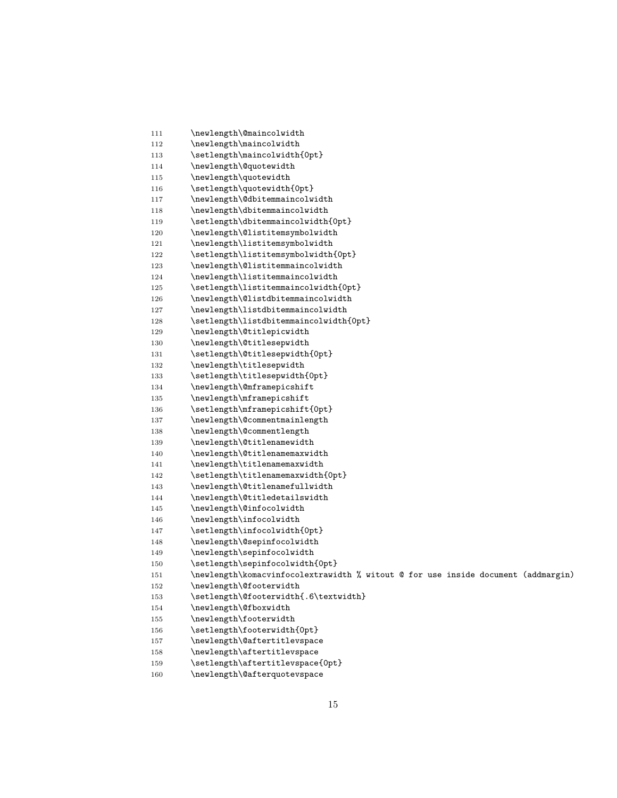| 112 | \newlength\maincolwidth                                                           |
|-----|-----------------------------------------------------------------------------------|
| 113 | \setlength\maincolwidth{0pt}                                                      |
| 114 | \newlength\@quotewidth                                                            |
| 115 | \newlength\quotewidth                                                             |
| 116 | \setlength\quotewidth{0pt}                                                        |
| 117 | \newlength\@dbitemmaincolwidth                                                    |
| 118 | \newlength\dbitemmaincolwidth                                                     |
| 119 | \setlength\dbitemmaincolwidth{0pt}                                                |
| 120 | \newlength\@listitemsymbolwidth                                                   |
| 121 | \newlength\listitemsymbolwidth                                                    |
| 122 | \setlength\listitemsymbolwidth{0pt}                                               |
| 123 | \newlength\@listitemmaincolwidth                                                  |
| 124 | \newlength\listitemmaincolwidth                                                   |
| 125 | \setlength\listitemmaincolwidth{0pt}                                              |
| 126 | \newlength\@listdbitemmaincolwidth                                                |
| 127 | \newlength\listdbitemmaincolwidth                                                 |
| 128 | \setlength\listdbitemmaincolwidth{0pt}                                            |
| 129 | \newlength\@titlepicwidth                                                         |
| 130 | \newlength\@titlesepwidth                                                         |
| 131 | \setlength\@titlesepwidth{0pt}                                                    |
| 132 | \newlength\titlesepwidth                                                          |
| 133 | \setlength\titlesepwidth{0pt}                                                     |
| 134 | \newlength\@mframepicshift                                                        |
| 135 | \newlength\mframepicshift                                                         |
| 136 | \setlength\mframepicshift{0pt}                                                    |
| 137 | \newlength\@commentmainlength                                                     |
| 138 | \newlength\@commentlength                                                         |
| 139 | \newlength\@titlenamewidth                                                        |
| 140 | \newlength\@titlenamemaxwidth                                                     |
| 141 | \newlength\titlenamemaxwidth                                                      |
| 142 | \setlength\titlenamemaxwidth{0pt}                                                 |
| 143 | \newlength\@titlenamefullwidth                                                    |
| 144 | \newlength\@titledetailswidth                                                     |
| 145 | \newlength\@infocolwidth                                                          |
| 146 | \newlength\infocolwidth                                                           |
| 147 | \setlength\infocolwidth{0pt}                                                      |
| 148 | \newlength\@sepinfocolwidth                                                       |
| 149 | \newlength\sepinfocolwidth                                                        |
| 150 | \setlength\sepinfocolwidth{0pt}                                                   |
| 151 | \newlength\komacvinfocolextrawidth % witout @ for use inside document (addmargin) |
| 152 | \newlength\@footerwidth                                                           |
| 153 | \setlength\@footerwidth{.6\textwidth}                                             |
| 154 | \newlength\@fboxwidth                                                             |
| 155 | \newlength\footerwidth                                                            |
| 156 | \setlength\footerwidth{0pt}                                                       |
| 157 | \newlength\@aftertitlevspace                                                      |
| 158 | \newlength\aftertitlevspace                                                       |
| 159 | \setlength\aftertitlevspace{0pt}                                                  |
| 160 | \newlength\@afterquotevspace                                                      |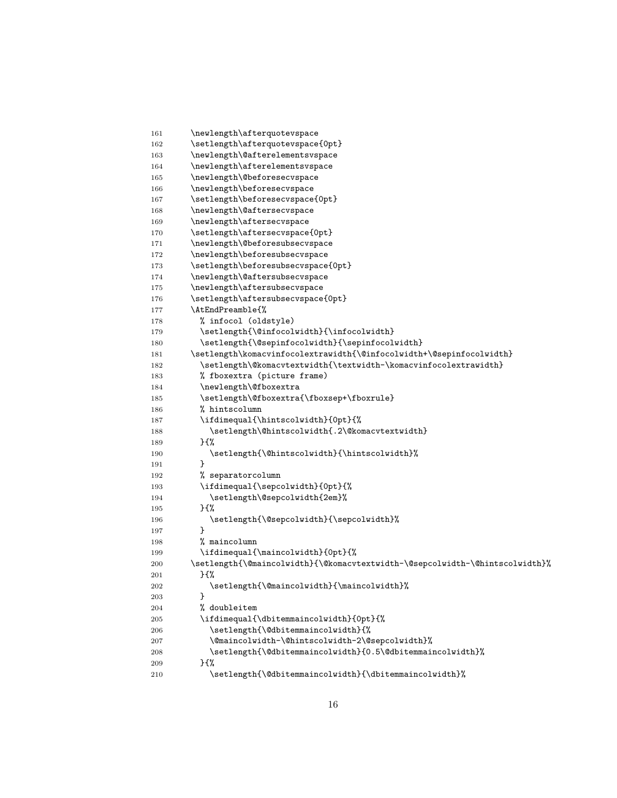```
161 \newlength\afterquotevspace
162 \setlength\afterquotevspace{0pt}
163 \newlength\@afterelementsvspace
164 \newlength\afterelementsvspace
165 \newlength\@beforesecvspace
166 \newlength\beforesecvspace
167 \setlength\beforesecvspace{0pt}
168 \newlength\@aftersecvspace
169 \newlength\aftersecvspace
170 \setlength\aftersecvspace{0pt}
171 \newlength\@beforesubsecvspace
172 \newlength\beforesubsecvspace
173 \setlength\beforesubsecvspace{0pt}
174 \newlength\@aftersubsecvspace
175 \newlength\aftersubsecvspace
176 \setlength\aftersubsecvspace{0pt}
177 \AtEndPreamble{%
178 % infocol (oldstyle)
179 \setlength{\@infocolwidth}{\infocolwidth}
180 \setlength{\@sepinfocolwidth}{\sepinfocolwidth}
181 \setlength\komacvinfocolextrawidth{\@infocolwidth+\@sepinfocolwidth}
182 \qquad \quad \texttt{\#} \quad \texttt{\#} \quad \texttt{th} \quad \texttt{th} \quad \texttt{th} \quad \texttt{th} \quad \texttt{th} \quad \texttt{th} \quad \texttt{th} \quad \texttt{th} \quad \texttt{th} \quad \texttt{th} \quad \texttt{th} \quad \texttt{th} \quad \texttt{th} \quad \texttt{th} \quad \texttt{th} \quad \texttt{th} \quad \texttt{th} \quad \texttt{th} \quad \texttt{th} \quad \texttt{th} \quad \texttt{th} \quad \texttt{th} \quad \texttt{th} \quad \texttt{th} \quad \texttt{183 % fboxextra (picture frame)
184 \newlength\@fboxextra
185 \setlength\@fboxextra{\fboxsep+\fboxrule}
186 % hintscolumn
187 \ifdimequal{\hintscolwidth}{0pt}{%
188 \setlength\@hintscolwidth{.2\@komacvtextwidth}
189 }{%
190 \setlength{\@hintscolwidth}{\hintscolwidth}%
191 }
192 % separatorcolumn
193 \ifdimequal{\sepcolwidth}{0pt}{%
194 \setlength\@sepcolwidth{2em}%
195 }{%
196 \setlength{\@sepcolwidth}{\sepcolwidth}%
197 }
198 % maincolumn
199 \ifdimequal{\maincolwidth}{0pt}{%
200 \setlength{\@maincolwidth}{\@komacvtextwidth-\@sepcolwidth-\@hintscolwidth}%
201 }\{%
202 \setlength{\@maincolwidth}{\maincolwidth}%
203 }
204 % doubleitem
205 \ifdimequal{\dbitemmaincolwidth}{0pt}{%
206 \setlength{\@dbitemmaincolwidth}{%
207 \@maincolwidth-\@hintscolwidth-2\@sepcolwidth}%
208 \setlength{\@dbitemmaincolwidth}{0.5\@dbitemmaincolwidth}%
209 } {%
210 \setlength{\@dbitemmaincolwidth}{\dbitemmaincolwidth}%
```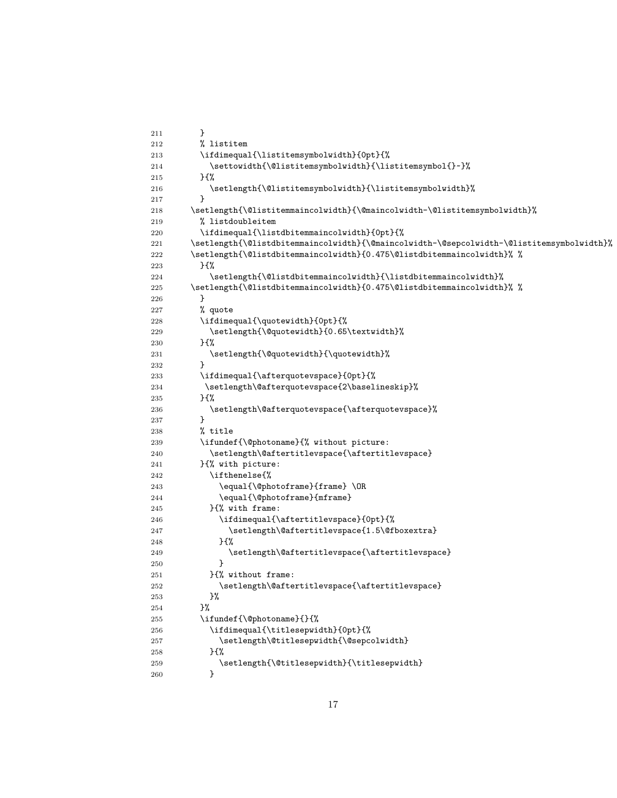```
211 }
212 % listitem
213 \ifdimequal{\listitemsymbolwidth}{0pt}{%
214 \settowidth{\@listitemsymbolwidth}{\listitemsymbol{}~}%
215 }{%
216 \setlength{\@listitemsymbolwidth}{\listitemsymbolwidth}%
217 }
218 \setlength{\@listitemmaincolwidth}{\@maincolwidth-\@listitemsymbolwidth}%
219 % listdoubleitem
220 \ifdimequal{\listdbitemmaincolwidth}{0pt}{%
221 \setlength{\@listdbitemmaincolwidth}{\@maincolwidth-\@sepcolwidth-\@listitemsymbolwidth}%
222 \setlength{\@listdbitemmaincolwidth}{0.475\@listdbitemmaincolwidth}% %
223 }{%
224 \setlength{\@listdbitemmaincolwidth}{\listdbitemmaincolwidth}%
225 \setlength{\@listdbitemmaincolwidth}{0.475\@listdbitemmaincolwidth}% %
226 }
227 % quote
228 \ifdimequal{\quotewidth}{0pt}{%
229 \setlength{\@quotewidth}{0.65\textwidth}%
230 }{%
231 \setlength{\@quotewidth}{\quotewidth}%
232 }
233 \ifdimequal{\afterquotevspace}{0pt}{%
234 \setlength\@afterquotevspace{2\baselineskip}%
235 }{%
236 \setlength\@afterquotevspace{\afterquotevspace}%
237 }
238 % title
239 \ifundef{\@photoname}{% without picture:
240 \setlength\@aftertitlevspace{\aftertitlevspace}
241 }{% with picture:
242 \ifthenelse{%
243 \equal{\@photoframe}{frame} \OR
244 \equal{\@photoframe}{mframe}
245 } {% with frame:
246 \ifdimequal{\aftertitlevspace}{0pt}{%
247 \setlength\@aftertitlevspace{1.5\@fboxextra}
248 }{%
249 \setlength\@aftertitlevspace{\aftertitlevspace}
250 }
251 }{% without frame:
252 \setlength\@aftertitlevspace{\aftertitlevspace}
253 }%
254 }%
255 \ifundef{\@photoname}{}{%
256 \ifdimequal{\titlesepwidth}{0pt}{%
257 \setlength\@titlesepwidth{\@sepcolwidth}
258 }{%
259 \setlength{\@titlesepwidth}{\titlesepwidth}
260 }
```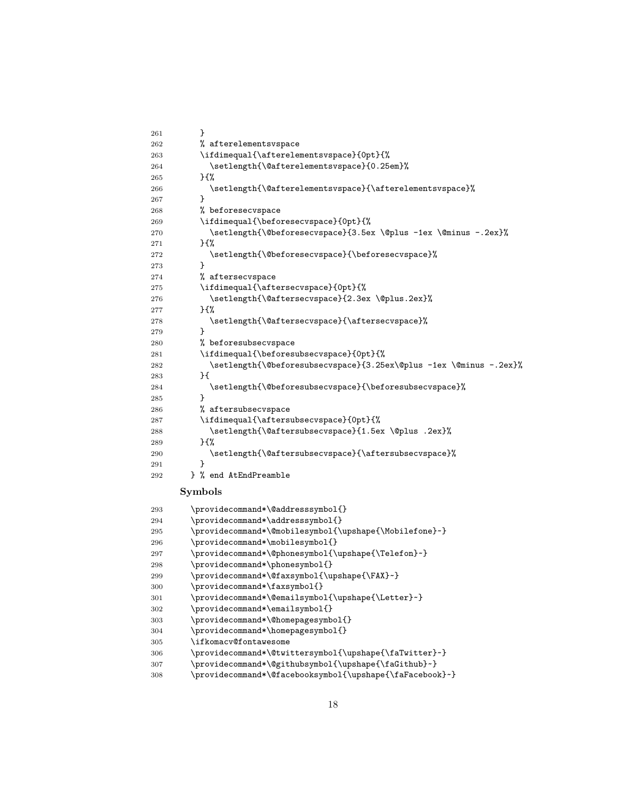```
261 }
262 % afterelementsvspace
263 \ifdimequal{\afterelementsvspace}{0pt}{%
264 \setlength{\@afterelementsvspace}{0.25em}%
265 }{%
266 \setlength{\@afterelementsvspace}{\afterelementsvspace}%
267 }
268 % beforesecvspace
269 \ifdimequal{\beforesecvspace}{0pt}{%
270 \setlength{\@beforesecvspace}{3.5ex \@plus -1ex \@minus -.2ex}%
271 } {%
272 \setlength{\@beforesecvspace}{\beforesecvspace}%
273 }
274 % aftersecvspace
275 \ifdimequal{\aftersecvspace}{0pt}{%
276 \setlength{\@aftersecvspace}{2.3ex \@plus.2ex}%
277 } {%
278 \setlength{\@aftersecvspace}{\aftersecvspace}%
279 }
280 % beforesubsecvspace
281 \ifdimequal{\beforesubsecvspace}{0pt}{%
282 \setlength{\@beforesubsecvspace}{3.25ex\@plus -1ex \@minus -.2ex}%
283 }{
284 \setlength{\@beforesubsecvspace}{\beforesubsecvspace}%
285 }
286 % aftersubsecvspace
287 \ifdimequal{\aftersubsecvspace}{0pt}{%
288 \setlength{\@aftersubsecvspace}{1.5ex \@plus .2ex}%
289 } {%
290 \setlength{\@aftersubsecvspace}{\aftersubsecvspace}%
291 }
292 } % end AtEndPreamble
     Symbols
293 \providecommand*\@addresssymbol{}
294 \providecommand*\addresssymbol{}
295 \providecommand*\@mobilesymbol{\upshape{\Mobilefone}~}
296 \providecommand*\mobilesymbol{}
297 \providecommand*\@phonesymbol{\upshape{\Telefon}~}
298 \providecommand*\phonesymbol{}
299 \providecommand*\@faxsymbol{\upshape{\FAX}~}
300 \providecommand*\faxsymbol{}
301 \providecommand*\@emailsymbol{\upshape{\Letter}~}
302 \providecommand*\emailsymbol{}
303 \providecommand*\@homepagesymbol{}
304 \providecommand*\homepagesymbol{}
305 \ifkomacv@fontawesome
306 \providecommand*\@twittersymbol{\upshape{\faTwitter}~}
307 \providecommand*\@githubsymbol{\upshape{\faGithub}~}
308 \providecommand*\@facebooksymbol{\upshape{\faFacebook}~}
```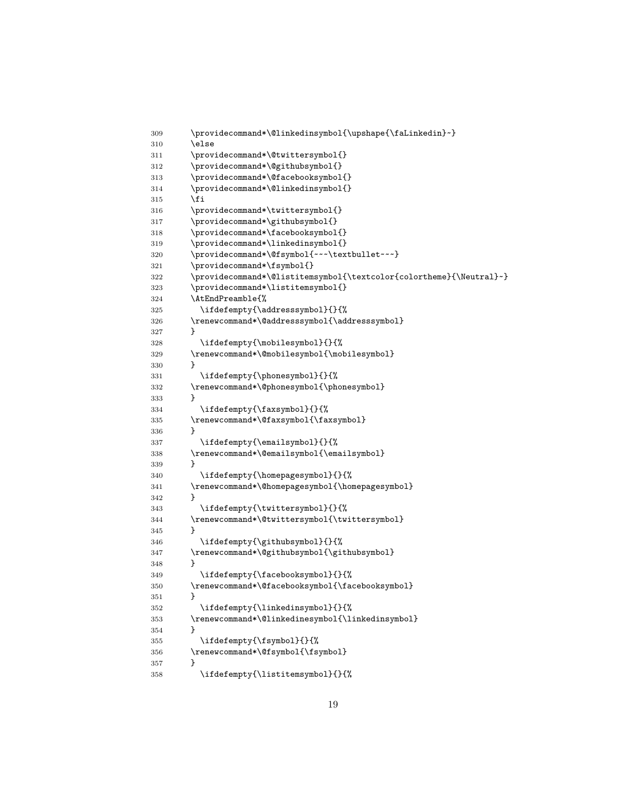```
309 \providecommand*\@linkedinsymbol{\upshape{\faLinkedin}~}
310 \else
311 \providecommand*\@twittersymbol{}
312 \providecommand*\@githubsymbol{}
313 \providecommand*\@facebooksymbol{}
314 \providecommand*\@linkedinsymbol{}
315 \fi
316 \providecommand*\twittersymbol{}
317 \providecommand*\githubsymbol{}
318 \providecommand*\facebooksymbol{}
319 \providecommand*\linkedinsymbol{}
320 \providecommand*\@fsymbol{~~~\textbullet~~~}
321 \providecommand*\fsymbol{}
322 \providecommand*\@listitemsymbol{\textcolor{colortheme}{\Neutral}~}
323 \providecommand*\listitemsymbol{}
324 \AtEndPreamble{%
325 \ifdefempty{\addresssymbol}{}{%
326 \renewcommand*\@addresssymbol{\addresssymbol}
327 }
328 \ifdefempty{\mobilesymbol}{}{%
329 \renewcommand*\@mobilesymbol{\mobilesymbol}
330 }
331 \ifdefempty{\phonesymbol}{}{%
332 \renewcommand*\@phonesymbol{\phonesymbol}
333 }
334 \ifdefempty{\faxsymbol}{}{%
335 \renewcommand*\@faxsymbol{\faxsymbol}
336 }
337 \ifdefempty{\emailsymbol}{}{%
338 \renewcommand*\@emailsymbol{\emailsymbol}
339 }
340 \ifdefempty{\homepagesymbol}{}{%
341 \renewcommand*\@homepagesymbol{\homepagesymbol}
342 }
343 \ifdefempty{\twittersymbol}{}{%
344 \renewcommand*\@twittersymbol{\twittersymbol}
345 }
346 \ifdefempty{\githubsymbol}{}{%
347 \renewcommand*\@githubsymbol{\githubsymbol}
348 }
349 \ifdefempty{\facebooksymbol}{}{%
350 \renewcommand*\@facebooksymbol{\facebooksymbol}
351 }
352 \ifdefempty{\linkedinsymbol}{}{%
353 \renewcommand*\@linkedinesymbol{\linkedinsymbol}
354 }
355 \ifdefempty{\fsymbol}{}{%
356 \renewcommand*\@fsymbol{\fsymbol}
357 }
358 \ifdefempty{\listitemsymbol}{}{%
```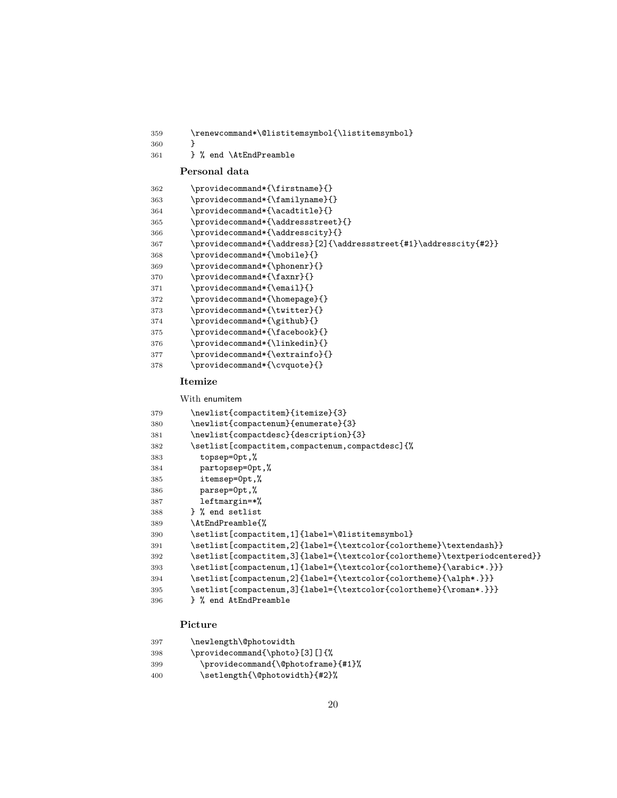```
359 \renewcommand*\@listitemsymbol{\listitemsymbol}
\frac{360}{361}
```

```
361 } % end \AtEndPreamble
```
#### **Personal data**

| 362 | \providecommand*{\firstname}{}                                    |
|-----|-------------------------------------------------------------------|
| 363 | \providecommand*{\familyname}{}                                   |
| 364 | \providecommand*{\acadtitle}{}                                    |
| 365 | \providecommand*{\addressstreet}{}                                |
| 366 | \providecommand*{\addresscity}{}                                  |
| 367 | \providecommand*{\address}[2]{\addressstreet{#1}\addresscity{#2}} |
| 368 | \providecommand*{\mobile}{}                                       |
| 369 | \providecommand*{\phonenr}{}                                      |
| 370 | \providecommand*{\faxnr}{}                                        |
| 371 | \providecommand*{\email}{}                                        |
| 372 | \providecommand*{\homepage}{}                                     |
| 373 | \providecommand*{\twitter}{}                                      |
| 374 | \providecommand*{\github}{}                                       |
| 375 | \providecommand*{\facebook}{}                                     |
| 376 | \providecommand*{\linkedin}{}                                     |
| 377 | \providecommand*{\extrainfo}{}                                    |
| 378 | \providecommand*{\cvquote}{}                                      |
|     |                                                                   |

#### **Itemize**

With enumitem

| 379 | \newlist{compactitem}{itemize}{3}                                          |
|-----|----------------------------------------------------------------------------|
| 380 | \newlist{compactenum}{enumerate}{3}                                        |
| 381 | \newlist{compactdesc}{description}{3}                                      |
| 382 | \setlist[compactitem,compactenum,compactdesc]{%                            |
| 383 | topsep=0pt,%                                                               |
| 384 | partopsep=0pt,%                                                            |
| 385 | itemsep=0pt,%                                                              |
| 386 | parsep=0pt,%                                                               |
| 387 | leftmargin=*%                                                              |
| 388 | } % end setlist                                                            |
| 389 | \AtEndPreamble{%                                                           |
| 390 | \setlist[compactitem,1]{label=\@listitemsymbol}                            |
| 391 | \setlist[compactitem,2]{label={\textcolor{colortheme}\textendash}}         |
| 392 | \setlist[compactitem,3]{label={\textcolor{colortheme}\textperiodcentered}} |
| 393 | \setlist[compactenum,1]{label={\textcolor{colortheme}{\arabic*.}}}         |
| 394 | \setlist[compactenum,2]{label={\textcolor{colortheme}{\alph*.}}}           |
| 395 | \setlist[compactenum,3]{label={\textcolor{colortheme}{\roman*.}}}          |
| 396 | } % end AtEndPreamble                                                      |

### **Picture**

| 397 | \newlength\@photowidth             |
|-----|------------------------------------|
| 398 | \providecommand{\photo}[3][]{%     |
| 399 | \providecommand{\@photoframe}{#1}% |
| 400 | \setlength{\@photowidth}{#2}%      |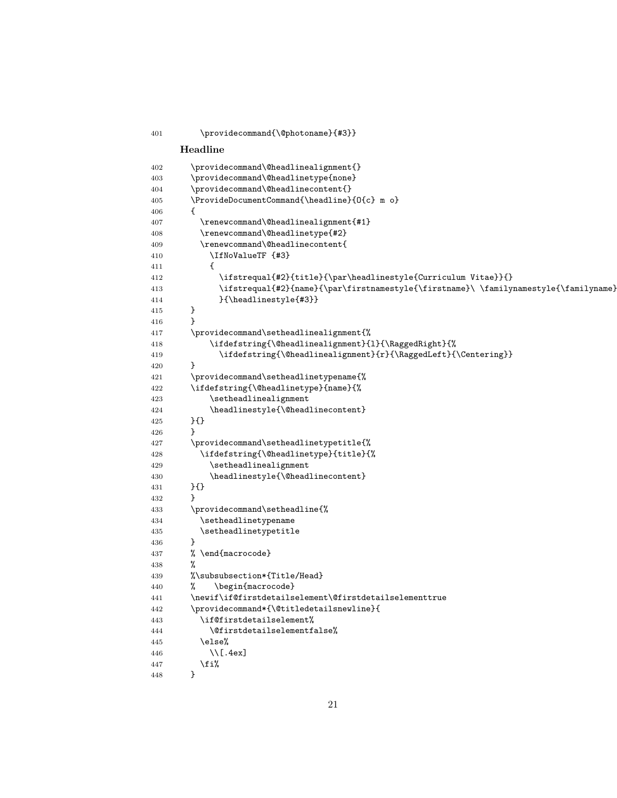\providecommand{\@photoname}{#3}} **Headline** \providecommand\@headlinealignment{} \providecommand\@headlinetype{none} \providecommand\@headlinecontent{} \ProvideDocumentCommand{\headline}{O{c} m o} { \renewcommand\@headlinealignment{#1} \renewcommand\@headlinetype{#2} \renewcommand\@headlinecontent{ 410 \IfNoValueTF {#3} { 412 \ifstrequal{#2}{title}{\par\headlinestyle{Curriculum Vitae}}{} 413 \ifstrequal{#2}{name}{\par\firstnamestyle{\firstname}\ \familynamestyle{\familyname} }{\headlinestyle{#3}} } } \providecommand\setheadlinealignment{% 418 \ifdefstring{\@headlinealignment}{l}{\RaggedRight}{% 419  $\tilde{\Omega}$  \ifdefstring{\@headlinealignment}{r}{\RaggedLeft}{\Centering}} 420 } \providecommand\setheadlinetypename{% \ifdefstring{\@headlinetype}{name}{% 423 \setheadlinealignment 424 \headlinestyle{\@headlinecontent} }{} } \providecommand\setheadlinetypetitle{% \ifdefstring{\@headlinetype}{title}{% 429 \setheadlinealignment \headlinestyle{\@headlinecontent} }{} } \providecommand\setheadline{% 434 \setheadlinetypename 435 \setheadlinetypetitle } % \end{macrocode} % %\subsubsection\*{Title/Head} % \begin{macrocode} \newif\if@firstdetailselement\@firstdetailselementtrue \providecommand\*{\@titledetailsnewline}{ \if@firstdetailselement% \@firstdetailselementfalse% \else% 446 \\[.4ex] 447  $\overrightarrow{1}$ }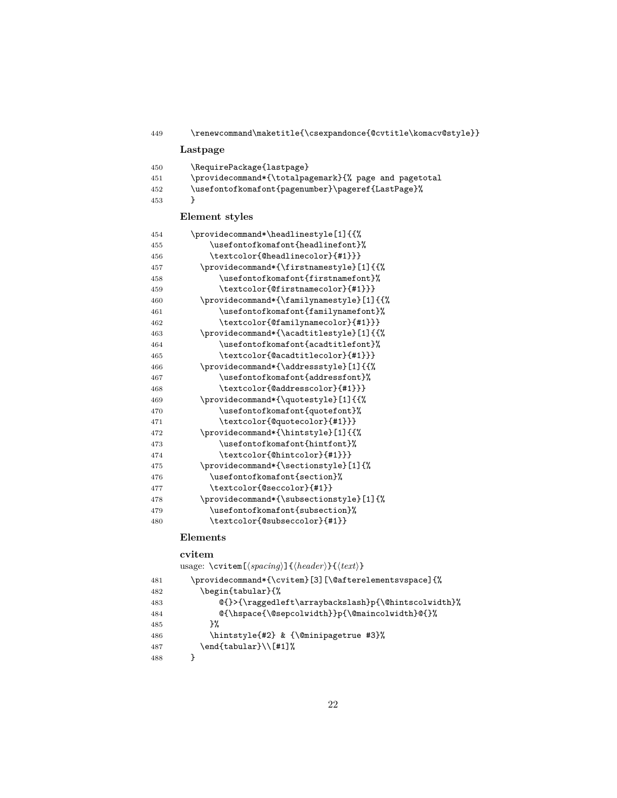| 449 | \renewcommand\maketitle{\csexpandonce{@cvtitle\komacv@style}} |
|-----|---------------------------------------------------------------|
|     | Lastpage                                                      |
| 450 | \RequirePackage{lastpage}                                     |
| 451 | \providecommand*{\totalpagemark}{% page and pagetotal         |
| 452 | \usefontofkomafont{pagenumber}\pageref{LastPage}%             |
| 453 | ł                                                             |
|     | Element styles                                                |
| 454 | \providecommand*\headlinestyle[1]{{%                          |
| 455 | \usefontofkomafont{headlinefont}%                             |
| 456 | \textcolor{@headlinecolor}{#1}}}                              |
| 457 | \providecommand*{\firstnamestyle}[1]{{%                       |
| 458 | \usefontofkomafont{firstnamefont}%                            |
| 459 | \textcolor{@firstnamecolor}{#1}}}                             |
| 460 | \providecommand*{\familynamestyle}[1]{{%                      |
| 461 | \usefontofkomafont{familynamefont}%                           |
| 462 | \textcolor{@familynamecolor}{#1}}}                            |
| 463 | \providecommand*{\acadtitlestyle}[1]{{%                       |
| 464 | \usefontofkomafont{acadtitlefont}%                            |
| 465 | \textcolor{@acadtitlecolor}{#1}}}                             |
| 466 | \providecommand*{\addressstyle}[1]{{%                         |
| 467 | \usefontofkomafont{addressfont}%                              |
| 468 | \textcolor{@addresscolor}{#1}}}                               |
| 469 | \providecommand*{\quotestyle}[1]{{%                           |
| 470 | \usefontofkomafont{quotefont}%                                |
| 471 | \textcolor{@quotecolor}{#1}}}                                 |
| 472 | \providecommand*{\hintstyle}[1]{{%                            |
| 473 | \usefontofkomafont{hintfont}%                                 |
| 474 | \textcolor{@hintcolor}{#1}}}                                  |
| 475 | \providecommand*{\sectionstyle}[1]{%                          |
| 476 | \usefontofkomafont{section}%                                  |
| 477 | \textcolor{@seccolor}{#1}}                                    |
| 478 | \providecommand*{\subsectionstyle}[1]{%                       |
| 479 | \usefontofkomafont{subsection}%                               |
| 480 | \textcolor{@subseccolor}{#1}}                                 |
|     | $\Gamma$ lamanta                                              |

#### **Elements**

#### **cvitem**

usage: \cvitem[ $\langle spacing \rangle$ ]{ $\langle header \rangle$ }{ $\langle text \rangle$ }

```
481 \providecommand*{\cvitem}[3][\@afterelementsvspace]{%
482 \begin{tabular}{%
483 @{}>{\raggedleft\arraybackslash}p{\@hintscolwidth}%
484 @{\hspace{\@sepcolwidth}}p{\@maincolwidth}@{}%
485 }%
486 \hintstyle{#2} & {\@minipagetrue #3}%
487 \end{tabular}\\[#1]%
488 }
```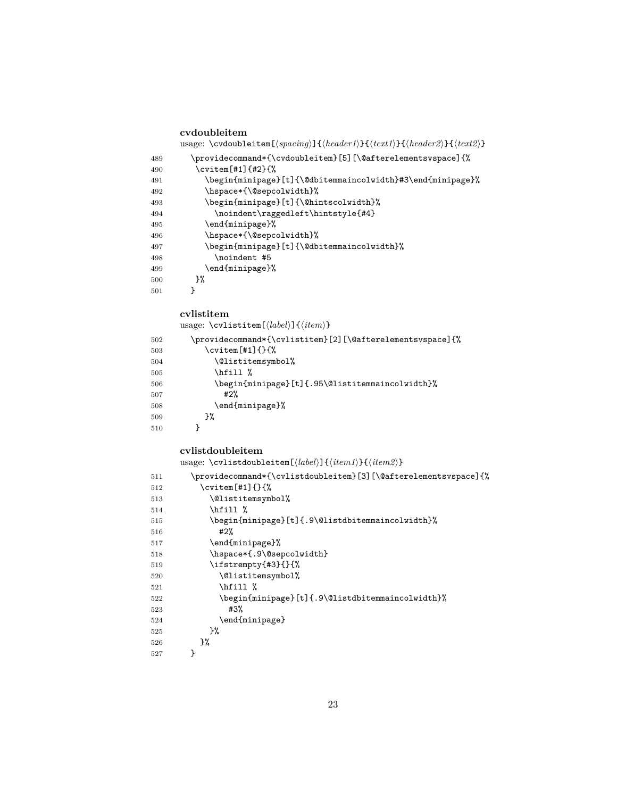|            | cvdoubleitem                                                                                                                                                      |
|------------|-------------------------------------------------------------------------------------------------------------------------------------------------------------------|
|            | usage: \cvdoubleitem[ $\langle spacing \rangle$ ]{ $\langle header1 \rangle$ }{ $\langle heat1 \rangle$ }{ $\langle header2 \rangle$ }{ $\langle text2 \rangle$ } |
| 489        | \providecommand*{\cvdoubleitem}[5][\@afterelementsvspace]{%                                                                                                       |
| 490        | \cvitem[#1]{#2}{%                                                                                                                                                 |
| 491        | \begin{minipage}[t]{\@dbitemmaincolwidth}#3\end{minipage}%<br>\hspace*{\@sepcolwidth}%                                                                            |
| 492<br>493 | \begin{minipage}[t]{\@hintscolwidth}%                                                                                                                             |
| 494        | \noindent\raggedleft\hintstyle{#4}                                                                                                                                |
| 495        | \end{minipage}%                                                                                                                                                   |
| 496        | \hspace*{\@sepcolwidth}%                                                                                                                                          |
| 497        | \begin{minipage}[t]{\@dbitemmaincolwidth}%                                                                                                                        |
| 498        | \noindent #5                                                                                                                                                      |
| 499        | \end{minipage}%                                                                                                                                                   |
| 500        | }%                                                                                                                                                                |
| 501        | }                                                                                                                                                                 |
|            | cvlistitem                                                                                                                                                        |
|            | usage: $\c{vlistitem}[\langle label \rangle] {\langle item \rangle}$                                                                                              |
| 502        | \providecommand*{\cvlistitem}[2][\@afterelementsvspace]{%                                                                                                         |
| 503        | $\cup$ $\cup$ item [#1] $\}$ $\{$ $\}$                                                                                                                            |
| 504        | \@listitemsymbol%                                                                                                                                                 |
| 505        | \hfill %                                                                                                                                                          |
| 506<br>507 | \begin{minipage}[t]{.95\@listitemmaincolwidth}%<br>#2%                                                                                                            |
| 508        | \end{minipage}%                                                                                                                                                   |
| 509        | }‰                                                                                                                                                                |
| 510        | }                                                                                                                                                                 |
|            | cvlistdoubleitem                                                                                                                                                  |
|            | usage: \cvlistdoubleitem[ $\langle label \rangle$ ]{ $\langle item1 \rangle$ }{ $\langle item2 \rangle$ }                                                         |
| 511        | \providecommand*{\cvlistdoubleitem}[3][\@afterelementsvspace]{%                                                                                                   |
| 512        | $\text{Cvitem}$ [#1]{}{%                                                                                                                                          |
| 513        | \@listitemsymbol%                                                                                                                                                 |
| 514        | \hfill %                                                                                                                                                          |
| 515<br>516 | \begin{minipage}[t]{.9\@listdbitemmaincolwidth}%<br>#2%                                                                                                           |
| 517        | \end{minipage}%                                                                                                                                                   |
| 518        | \hspace*{.9\@sepcolwidth}                                                                                                                                         |
| 519        | \ifstrempty{#3}{}{%                                                                                                                                               |
| 520        | \@listitemsymbol%                                                                                                                                                 |
| 521        | \hfill %                                                                                                                                                          |
| 522        | \begin{minipage}[t]{.9\@listdbitemmaincolwidth}%                                                                                                                  |
| 523        | #3%                                                                                                                                                               |
| 524        | \end{minipage}                                                                                                                                                    |
| 525        | }%                                                                                                                                                                |
| 526        | }‰                                                                                                                                                                |
| 527        | }                                                                                                                                                                 |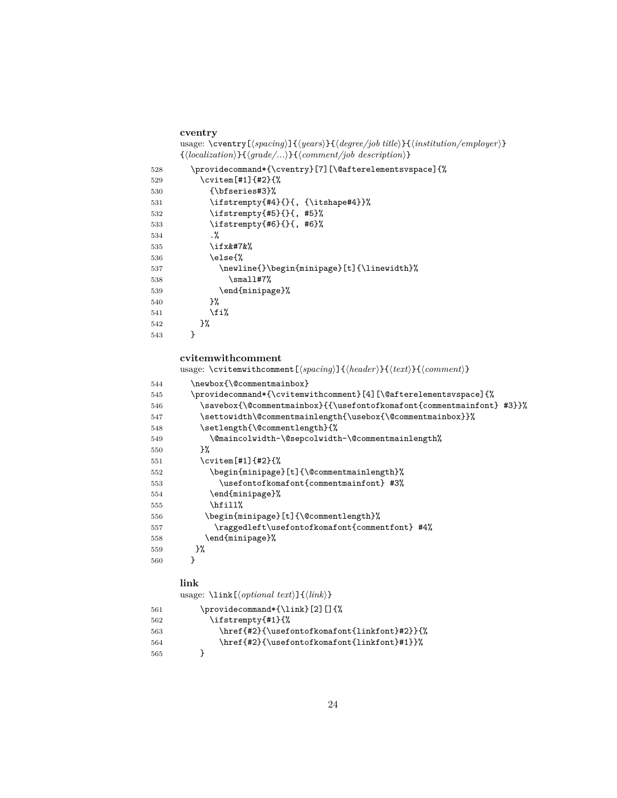```
cventry
usage: \cventry[\spacing\]{\years\}{\degree/job title\}}{\institution/employer\}
{\{(localization)\}}{\{grade/\ldots\}}}{\comment/job description\}
```

| 528 | \providecommand*{\cventry}[7][\@afterelementsvspace]{% |
|-----|--------------------------------------------------------|
| 529 | \cvitem[#1]{#2}{%                                      |
| 530 | $\{ \bf \}$                                            |
| 531 | \ifstrempty{#4}{}{, {\itshape#4}}%                     |
| 532 | \ifstrempty{#5}{}{, #5}%                               |
| 533 | \ifstrempty{#6}{}{, #6}%                               |
| 534 | . %                                                    |
| 535 | \ifx&%                                                |
| 536 | \else{%                                                |
| 537 | \newline{}\begin{minipage}[t]{\linewidth}%             |
| 538 | $\sum1#7%$                                             |
| 539 | \end{minipage}%                                        |
| 540 | ጉ%                                                     |
| 541 | \fi%                                                   |
| 542 | }‰                                                     |
| 543 | ł                                                      |

#### **cvitemwithcomment**

 ${\it usage: \verb|\cvitemwithout|} {span of {\verb|}/} {\{heat\}} {\verb|} { \verb|}/ \norm(ent{\verb|}}$ 

| 544 | \newbox{\@commentmainbox}                                             |
|-----|-----------------------------------------------------------------------|
| 545 | \providecommand*{\cvitemwithcomment}[4] [\@afterelementsvspace] {%    |
| 546 | \savebox{\@commentmainbox}{{\usefontofkomafont{commentmainfont} #3}}% |
| 547 | \settowidth\@commentmainlength{\usebox{\@commentmainbox}}%\           |
| 548 | \setlength{\@commentlength}{%                                         |
| 549 | \@maincolwidth-\@sepcolwidth-\@commentmainlength%                     |
| 550 | ጉ%                                                                    |
| 551 | \cvitem[#1]{#2}{%                                                     |
| 552 | \begin{minipage}[t]{\@commentmainlength}%                             |
| 553 | \usefontofkomafont{commentmainfont} #3%                               |
| 554 | \end{minipage}%                                                       |
| 555 | \hfill%                                                               |
| 556 | \begin{minipage}[t]{\@commentlength}%                                 |
| 557 | \raggedleft\usefontofkomafont{commentfont} #4%                        |
| 558 | \end{minipage}%                                                       |
| 559 | }‰                                                                    |
| 560 | ł                                                                     |
|     |                                                                       |

## **link**

usage:  $\langle \text{link}[\langle \text{optional } text \rangle] \{\langle \text{link} \rangle\}$ 

| 561 | \providecommand*{\link}[2][]{%               |
|-----|----------------------------------------------|
| 562 | \ifstrempty{#1}{%                            |
| 563 | \href{#2}{\usefontofkomafont{linkfont}#2}}{% |
| 564 | \href{#2}{\usefontofkomafont{linkfont}#1}}%  |
| 565 |                                              |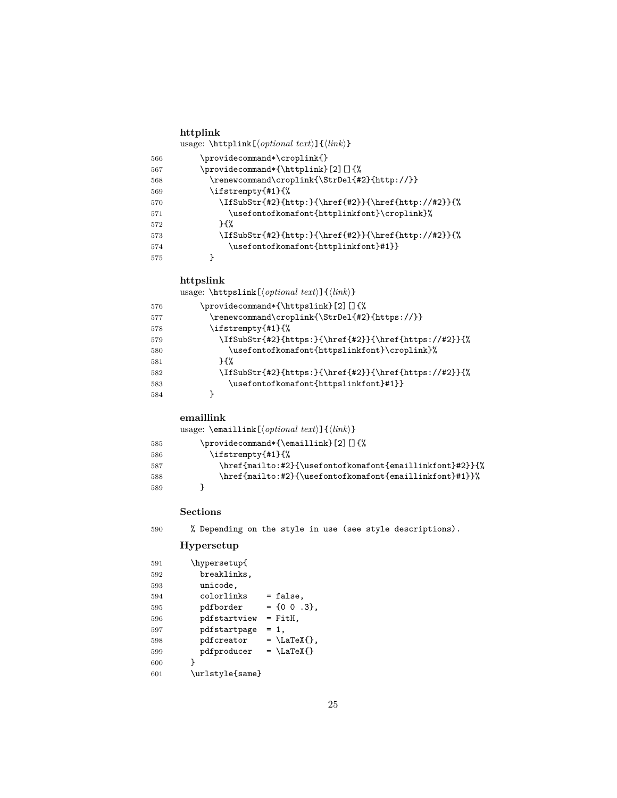#### **httplink** usage:  $\theta \left( \phi \text{if } \theta \right)$

| 566 | \providecommand*\croplink{}                         |
|-----|-----------------------------------------------------|
| 567 | \providecommand*{\httplink}[2][]{%                  |
| 568 | \renewcommand\croplink{\StrDel{#2}{http://}}        |
| 569 | \ifstrempty{#1}{%                                   |
| 570 | \IfSubStr{#2}{http:}{\href{#2}}{\href{http://#2}}{% |
| 571 | \usefontofkomafont{httplinkfont}\croplink}%         |
| 572 | ን የአ                                                |
| 573 | \IfSubStr{#2}{http:}{\href{#2}}{\href{http://#2}}{% |
| 574 | \usefontofkomafont{httplinkfont}#1}}                |
| 575 |                                                     |

#### **httpslink**

usage: \httpslink[\*optional text*}]{\*link*}}

| 576 | \providecommand*{\httpslink}[2][]{%                   |
|-----|-------------------------------------------------------|
| 577 | \renewcommand\croplink{\StrDel{#2}{https://}}         |
| 578 | \ifstrempty{#1}{%                                     |
| 579 | \IfSubStr{#2}{https:}{\href{#2}}{\href{https://#2}}{% |
| 580 | \usefontofkomafont{httpslinkfont}\croplink}%          |
| 581 | ን የአ                                                  |
| 582 | \IfSubStr{#2}{https:}{\href{#2}}{\href{https://#2}}{% |
| 583 | \usefontofkomafont{httpslinkfont}#1}}                 |
| 584 |                                                       |

#### **emaillink**

usage: \emaillink[\*optional text*}]{\*link*}} \providecommand\*{\emaillink}[2][]{%

| 585 | \providecommand*i\emaillink}[2][Ji\,                     |
|-----|----------------------------------------------------------|
| 586 | $\iint \text{strempty{#1}{% }$                           |
| 587 | \href{mailto:#2}{\usefontofkomafont{emaillinkfont}#2}}{% |
| 588 | \href{mailto:#2}{\usefontofkomafont{emaillinkfont}#1}}%  |
| 589 |                                                          |

#### **Sections**

% Depending on the style in use (see style descriptions).

#### **Hypersetup**

| 591 | \hypersetup{    |                    |
|-----|-----------------|--------------------|
| 592 | breaklinks,     |                    |
| 593 | unicode,        |                    |
| 594 | colorlinks      | = false,           |
| 595 | pdfborder       | $= 100.3$ .        |
| 596 | pdfstartview    | $=$ FitH,          |
| 597 | pdfstartpage    | $= 1.$             |
| 598 | pdfcreator      | $= \text{LaTeX}$ . |
| 599 | pdfproducer     | $= \text{LaTeX}$   |
| 600 | ł               |                    |
| 601 | \urlstyle{same} |                    |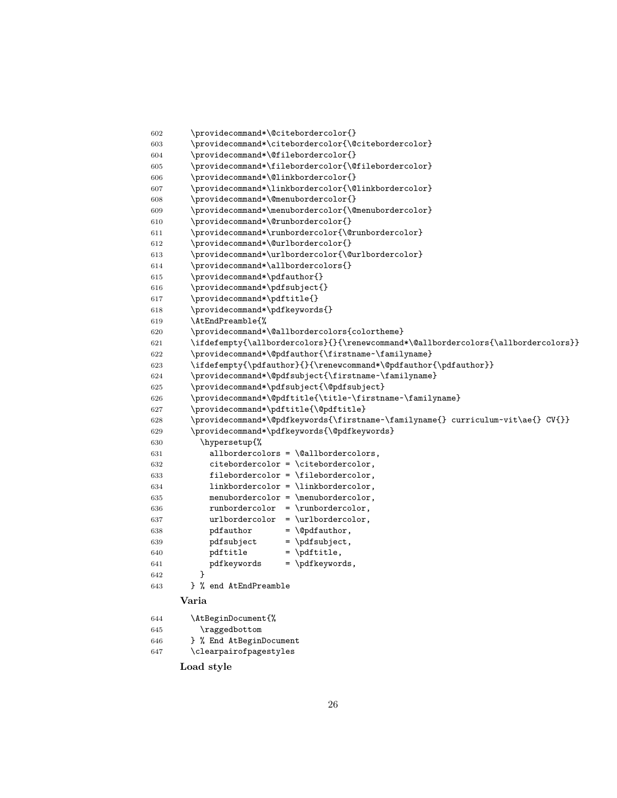```
602 \providecommand*\@citebordercolor{}
603 \providecommand*\citebordercolor{\@citebordercolor}
604 \providecommand*\@filebordercolor{}
605 \providecommand*\filebordercolor{\@filebordercolor}
606 \providecommand*\@linkbordercolor{}
607 \providecommand*\linkbordercolor{\@linkbordercolor}
608 \providecommand*\@menubordercolor{}
609 \providecommand*\menubordercolor{\@menubordercolor}
610 \providecommand*\@runbordercolor{}
611 \providecommand*\runbordercolor{\@runbordercolor}
612 \providecommand*\@urlbordercolor{}
613 \providecommand*\urlbordercolor{\@urlbordercolor}
614 \providecommand*\allbordercolors{}
615 \providecommand*\pdfauthor{}
616 \providecommand*\pdfsubject{}
617 \providecommand*\pdftitle{}
618 \providecommand*\pdfkeywords{}
619 \AtEndPreamble{%
620 \providecommand*\@allbordercolors{colortheme}
621 \ifdefempty{\allbordercolors}{}{\renewcommand*\@allbordercolors{\allbordercolors}}
622 \providecommand*\@pdfauthor{\firstname~\familyname}
623 \ifdefempty{\pdfauthor}{}{\renewcommand*\@pdfauthor{\pdfauthor}}
624 \providecommand*\@pdfsubject{\firstname~\familyname}
625 \providecommand*\pdfsubject{\@pdfsubject}
626 \providecommand*\@pdftitle{\title~\firstname~\familyname}
627 \providecommand*\pdftitle{\@pdftitle}
628 \providecommand*\@pdfkeywords{\firstname~\familyname{} curriculum~vit\ae{} CV{}}
629 \providecommand*\pdfkeywords{\@pdfkeywords}
630 \hypersetup{%
631 allbordercolors = \@allbordercolors,
632 citebordercolor = \citebordercolor,
633 filebordercolor = \filebordercolor,
634 linkbordercolor = \linkbordercolor,
635 menubordercolor = \menubordercolor,
636 runbordercolor = \runbordercolor,
637 urlbordercolor = \urlbordercolor,
638 pdfauthor = \qquad = \qquad639 pdfsubject = \pdfsubject,
640 pdftitle = \pdftitle,
641 pdfkeywords = \pdfkeywords,
642 }
643 } % end AtEndPreamble
     Varia
644 \AtBeginDocument{%
645 \raggedbottom
646 } % End AtBeginDocument
647 \clearpairofpagestyles
     Load style
```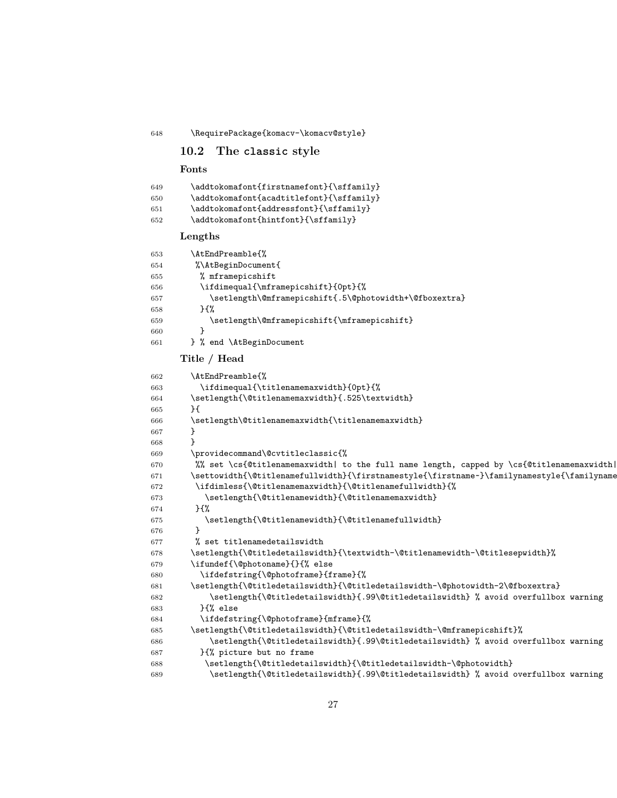<span id="page-26-0"></span>\RequirePackage{komacv-\komacv@style}

```
10.2 The classic style
```
#### **Fonts**

 \addtokomafont{firstnamefont}{\sffamily} \addtokomafont{acadtitlefont}{\sffamily} \addtokomafont{addressfont}{\sffamily} \addtokomafont{hintfont}{\sffamily} **Lengths** \AtEndPreamble{% %\AtBeginDocument{ % mframepicshift \ifdimequal{\mframepicshift}{0pt}{% 657 \setlength\@mframepicshift{.5\@photowidth+\@fboxextra} }{% 659 \setlength\@mframepicshift{\mframepicshift} } } % end \AtBeginDocument **Title / Head** \AtEndPreamble{% \ifdimequal{\titlenamemaxwidth}{0pt}{% \setlength{\@titlenamemaxwidth}{.525\textwidth} }{ \setlength\@titlenamemaxwidth{\titlenamemaxwidth} } } \providecommand\@cvtitleclassic{% %% set \cs{@titlenamemaxwidth| to the full name length, capped by \cs{@titlenamemaxwidth| 671 \settowidth{\@titlenamefullwidth}{\firstnamestyle{\firstname~}\familynamestyle{\familyname \ifdimless{\@titlenamemaxwidth}{\@titlenamefullwidth}{% 673 \setlength{\@titlenamewidth}{\@titlenamemaxwidth} }{% 675 \setlength{\@titlenamewidth}{\@titlenamefullwidth} } % set titlenamedetailswidth 678 \setlength{\@titledetailswidth}{\textwidth-\@titlenamewidth-\@titlesepwidth}% \ifundef{\@photoname}{}{% else \ifdefstring{\@photoframe}{frame}{%  $681 \verb|\\Setlength{\@titledetailswidth}{\@titledetailswidth-\@photowidth-2\@fboxextra}$ 682 \setlength{\@titledetailswidth}{.99\@titledetailswidth} % avoid overfullbox warning }{% else \ifdefstring{\@photoframe}{mframe}{% 685 \setlength{\@titledetailswidth}{\@titledetailswidth-\@mframepicshift}% 686 \setlength{\@titledetailswidth}{.99\@titledetailswidth} % avoid overfullbox warning }{% picture but no frame \setlength{\@titledetailswidth}{\@titledetailswidth-\@photowidth} 689 \setlength{\@titledetailswidth}{.99\@titledetailswidth} % avoid overfullbox warning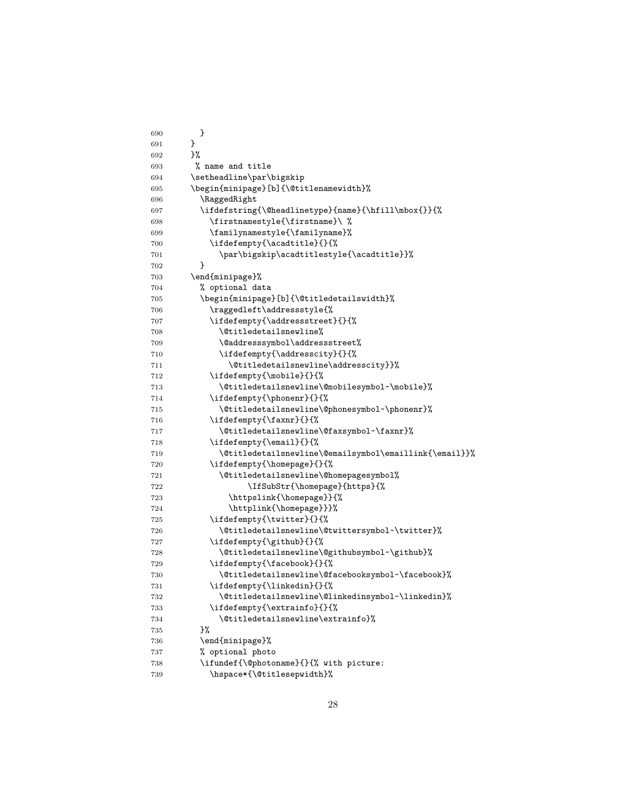| 690 | }                                                      |
|-----|--------------------------------------------------------|
| 691 | }                                                      |
| 692 | 3%                                                     |
| 693 | % name and title                                       |
| 694 | \setheadline\par\bigskip                               |
| 695 | \begin{minipage}[b]{\@titlenamewidth}%                 |
| 696 | \RaggedRight                                           |
| 697 | \ifdefstring{\@headlinetype}{name}{\hfill\mbox{}}{%    |
| 698 | \firstnamestyle{\firstname}\ %                         |
| 699 | \familynamestyle{\familyname}%                         |
| 700 | \ifdefempty{\acadtitle}{}{%                            |
| 701 | \par\bigskip\acadtitlestyle{\acadtitle}}%              |
| 702 | ł                                                      |
| 703 | \end{minipage}%                                        |
| 704 | % optional data                                        |
| 705 | \begin{minipage}[b]{\@titledetailswidth}%              |
| 706 | \raggedleft\addressstyle{%                             |
| 707 | \ifdefempty{\addressstreet}{}{%                        |
| 708 | \@titledetailsnewline%                                 |
| 709 | \@addresssymbol\addressstreet%                         |
| 710 | \ifdefempty{\addresscity}{}{%                          |
| 711 | \@titledetailsnewline\addresscity}}%                   |
| 712 | \ifdefempty{\mobile}{}{%                               |
| 713 | \@titledetailsnewline\@mobilesymbol~\mobile}%          |
| 714 | \ifdefempty{\phonenr}{}{%                              |
| 715 | \@titledetailsnewline\@phonesymbol~\phonenr}%          |
| 716 | \ifdefempty{\faxnr}{}{%                                |
| 717 | \@titledetailsnewline\@faxsymbol~\faxnr}%              |
| 718 | \ifdefempty{\email}{}{%                                |
| 719 | \@titledetailsnewline\@emailsymbol\emaillink{\email}}% |
| 720 | \ifdefempty{\homepage}{}{%                             |
| 721 | \@titledetailsnewline\@homepagesymbol%                 |
| 722 | \IfSubStr{\homepage}{https}{%                          |
| 723 | \httpslink{\homepage}}{%                               |
| 724 | \httplink{\homepage}}}%                                |
| 725 | \ifdefempty{\twitter}{}{%                              |
| 726 | \@titledetailsnewline\@twittersymbol~\twitter}%        |
| 727 | \ifdefempty{\github}{}{%                               |
| 728 | \@titledetailsnewline\@githubsymbol~\github}%          |
| 729 | \ifdefempty{\facebook}{}{%                             |
| 730 | \@titledetailsnewline\@facebooksymbol~\facebook}%      |
| 731 | \ifdefempty{\linkedin}{}{%                             |
| 732 | \@titledetailsnewline\@linkedinsymbol~\linkedin}%      |
| 733 | \ifdefempty{\extrainfo}{}{%                            |
| 734 | \@titledetailsnewline\extrainfo}%                      |
| 735 | }‰                                                     |
| 736 | \end{minipage}%                                        |
| 737 | % optional photo                                       |
| 738 | \ifundef{\@photoname}{}{% with picture:                |
| 739 | \hspace*{\@titlesepwidth}%                             |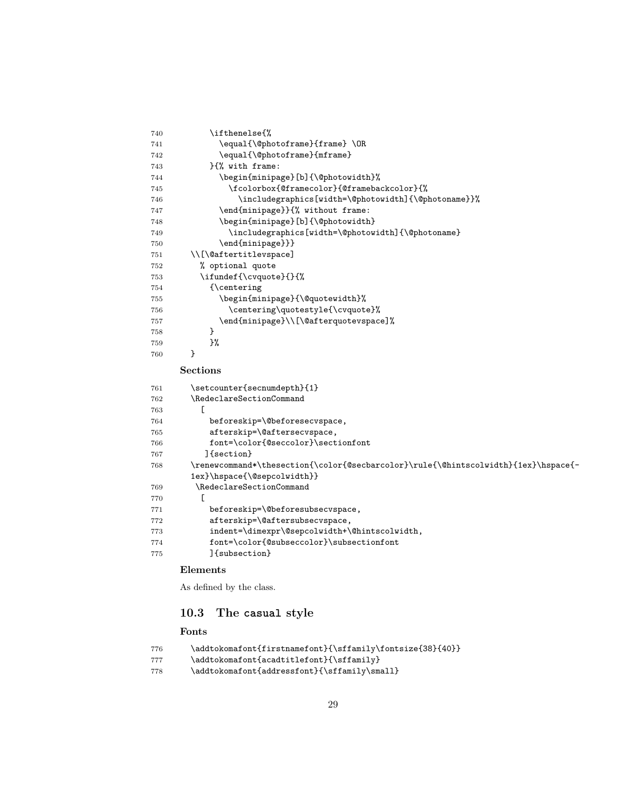| 740 | \ifthenelse{%                                                                      |
|-----|------------------------------------------------------------------------------------|
| 741 | \equal{\@photoframe}{frame}\OR                                                     |
| 742 | \equal{\@photoframe}{mframe}                                                       |
| 743 | }{% with frame:                                                                    |
| 744 | \begin{minipage}[b]{\@photowidth}%                                                 |
| 745 | \fcolorbox{@framecolor}{@framebackcolor}{%                                         |
| 746 | \includegraphics[width=\@photowidth]{\@photoname}}%                                |
| 747 | \end{minipage}}{% without frame:                                                   |
| 748 | \begin{minipage}[b]{\@photowidth}                                                  |
| 749 | \includegraphics[width=\@photowidth]{\@photoname}                                  |
| 750 | \end{minipage}}}                                                                   |
| 751 | \\[\@aftertitlevspace]                                                             |
| 752 | % optional quote                                                                   |
| 753 | \ifundef{\cvquote}{}{%                                                             |
| 754 | {\centering                                                                        |
| 755 | \begin{minipage}{\@quotewidth}%                                                    |
| 756 | \centering\quotestyle{\cvquote}%                                                   |
| 757 | \end{minipage}\\[\@afterquotevspace]%                                              |
| 758 | ł                                                                                  |
| 759 | }%                                                                                 |
| 760 | ł                                                                                  |
|     | <b>Sections</b>                                                                    |
| 761 | \setcounter{secnumdepth}{1}                                                        |
| 762 | \RedeclareSectionCommand                                                           |
| 763 | Г                                                                                  |
| 764 | beforeskip=\@beforesecvspace,                                                      |
| 765 | afterskip=\@aftersecvspace,                                                        |
| 766 | font=\color{@seccolor}\sectionfont                                                 |
| 767 | ]{section}                                                                         |
| 768 | \renewcommand*\thesection{\color{@secbarcolor}\rule{\@hintscolwidth}{1ex}\hspace{- |
|     | 1ex}\hspace{\@sepcolwidth}}                                                        |
| 769 | \RedeclareSectionCommand                                                           |
| 770 | ſ                                                                                  |
| 771 | beforeskip=\@beforesubsecvspace,                                                   |
| 772 | afterskip=\@aftersubsecvspace,                                                     |
| 773 | indent=\dimexpr\@sepcolwidth+\@hintscolwidth,                                      |
| 774 | font=\color{@subseccolor}\subsectionfont                                           |
| 775 | [{subsection}                                                                      |
|     | Elements                                                                           |

As defined by the class.

# <span id="page-28-0"></span>**10.3 The casual style**

# **Fonts**

| 776 | \addtokomafont{firstnamefont}{\sffamily\fontsize{38}{40}} |
|-----|-----------------------------------------------------------|
| 777 | \addtokomafont{acadtitlefont}{\sffamily}                  |
| 778 | \addtokomafont{addressfont}{\sffamily\small}              |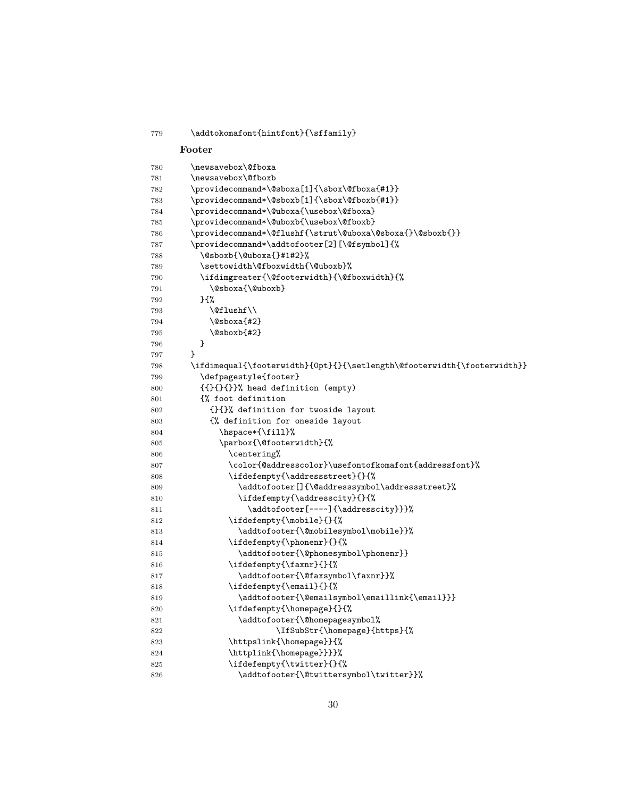```
779 \addtokomafont{hintfont}{\sffamily}
    Footer
780 \newsavebox\@fboxa
781 \newsavebox\@fboxb
782 \providecommand*\@sboxa[1]{\sbox\@fboxa{#1}}
783 \providecommand*\@sboxb[1]{\sbox\@fboxb{#1}}
784 \providecommand*\@uboxa{\usebox\@fboxa}
785 \providecommand*\@uboxb{\usebox\@fboxb}
786 \providecommand*\@flushf{\strut\@uboxa\@sboxa{}\@sboxb{}}
787 \providecommand*\addtofooter[2][\@fsymbol]{%
788 \@sboxb{\@uboxa{}#1#2}%
789 \settowidth\@fboxwidth{\@uboxb}%
790 \ifdimgreater{\@footerwidth}{\@fboxwidth}{%
791 \@sboxa{\@uboxb}
792 }{%
793 \@flushf\\
794 \@sboxa{#2}
795 \@sboxb{#2}
796 }
797 }
798 \ifdimequal{\footerwidth}{0pt}{}{\setlength\@footerwidth{\footerwidth}}
799 \defpagestyle{footer}
800 {{}{}{}}% head definition (empty)
801 {% foot definition
802 {}{}% definition for twoside layout
803 {% definition for oneside layout
804 \hspace*{\fill}%
805 \parbox{\@footerwidth}{%
806 \centering%
807 \color{@addresscolor}\usefontofkomafont{addressfont}%
808 \ifdefempty{\addressstreet}{}{%
809 \addtofooter[]{\@addresssymbol\addressstreet}%
810 \ifdefempty{\addresscity}{}{%
811 \addtofooter[---~]{\addresscity}}}%
812 \ifdefempty{\mobile}{}{%
813 \addtofooter{\@mobilesymbol\mobile}}%
814 \ifdefempty{\phonenr}{}{%
815 \ddtofooter{\@phonesymbol\phonenr}}
816 \ifdefempty{\faxnr}{}{%
817 \addtofooter{\@faxsymbol\faxnr}}%
818 \ifdefempty{\email}{}{%
819 \addtofooter{\@emailsymbol\emaillink{\email}}}
820 \ifdefempty{\homepage}{}{%
821 \addtofooter{\@homepagesymbol%
822 \laternary \ffSubStr{\homepage}{https}{%
823 \httpslink{\homepage}}{%
824 \httplink{\homepage}}}}%
825 \ifdefempty{\twitter}{}{%
826 \addtofooter{\@twittersymbol\twitter}}%
```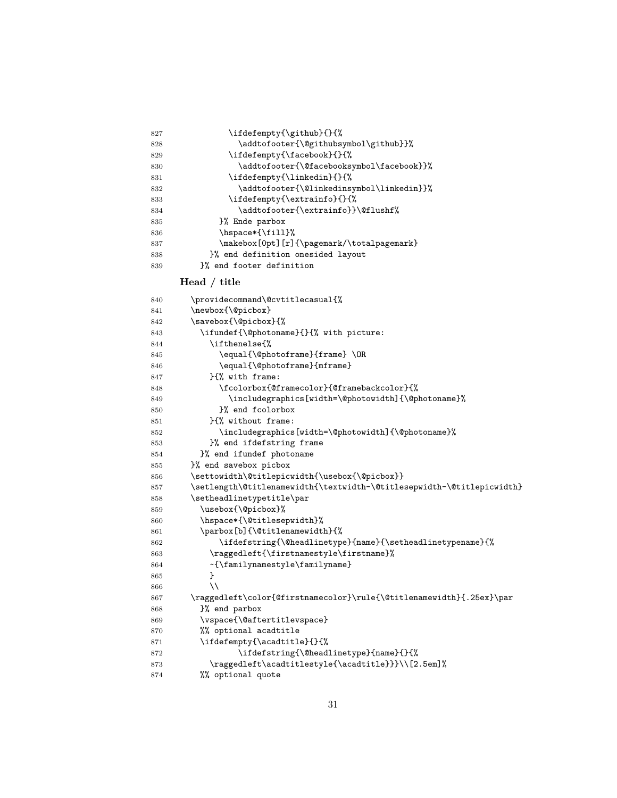| 827 | \ifdefempty{\github}{}{%                   |
|-----|--------------------------------------------|
| 828 | \addtofooter{\@githubsymbol\github}}%      |
| 829 | \ifdefempty{\facebook}{}{%                 |
| 830 | \addtofooter{\@facebooksymbol\facebook}}%  |
| 831 | \ifdefempty{\linkedin}{}{%                 |
| 832 | \addtofooter{\@linkedinsymbol\linkedin}}%  |
| 833 | \ifdefempty{\extrainfo}{}{%                |
| 834 | \addtofooter{\extrainfo}}\@flushf%         |
| 835 | }% Ende parbox                             |
| 836 | \hspace*{\fill}%                           |
| 837 | \makebox[0pt][r]{\pagemark/\totalpagemark} |
| 838 | }% end definition onesided layout          |
| 839 | P% end footer definition                   |

# **Head / title**

| 840 | \providecommand\@cvtitlecasual{%                                       |
|-----|------------------------------------------------------------------------|
| 841 | \newbox{\@picbox}                                                      |
| 842 | \savebox{\@picbox}{%                                                   |
| 843 | \ifundef{\@photoname}{}{% with picture:                                |
| 844 | \ifthenelse{%                                                          |
| 845 | \equal{\@photoframe}{frame}\OR                                         |
| 846 | \equal{\@photoframe}{mframe}                                           |
| 847 | H% with frame:                                                         |
| 848 | \fcolorbox{@framecolor}{@framebackcolor}{%                             |
| 849 | \includegraphics[width=\@photowidth]{\@photoname}%                     |
| 850 | }% end fcolorbox                                                       |
| 851 | }{% without frame:                                                     |
| 852 | \includegraphics[width=\@photowidth]{\@photoname}%                     |
| 853 | }% end ifdefstring frame                                               |
| 854 | }% end ifundef photoname                                               |
| 855 | }% end savebox picbox                                                  |
| 856 | \settowidth\@titlepicwidth{\usebox{\@picbox}}                          |
| 857 | \setlength\@titlenamewidth{\textwidth-\@titlesepwidth-\@titlepicwidth} |
| 858 | \setheadlinetypetitle\par                                              |
| 859 | \usebox{\@picbox}%                                                     |
| 860 | \hspace*{\@titlesepwidth}%                                             |
| 861 | \parbox[b]{\@titlenamewidth}{%                                         |
| 862 | \ifdefstring{\@headlinetype}{name}{\setheadlinetypename}{%             |
| 863 | \raggedleft{\firstnamestyle\firstname}%                                |
| 864 | ~{\familynamestyle\familyname}                                         |
| 865 | }                                                                      |
| 866 | $\setminus$                                                            |
| 867 | \raggedleft\color{@firstnamecolor}\rule{\@titlenamewidth}{.25ex}\par   |
| 868 | }% end parbox                                                          |
| 869 | \vspace{\@aftertitlevspace}                                            |
| 870 | %% optional acadtitle                                                  |
| 871 | \ifdefempty{\acadtitle}{}{%                                            |
| 872 | \ifdefstring{\@headlinetype}{name}{}{%                                 |
| 873 | \raggedleft\acadtitlestyle{\acadtitle}}}\\[2.5em]%                     |
| 874 | %% optional quote                                                      |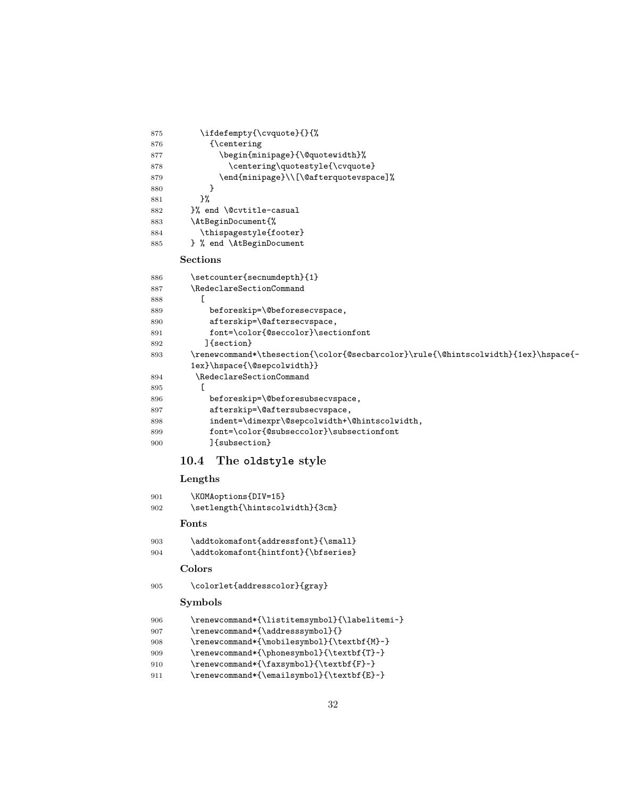<span id="page-31-0"></span>

| 875        | \ifdefempty{\cvquote}{}{%                                                                 |  |
|------------|-------------------------------------------------------------------------------------------|--|
| 876        | {\centering                                                                               |  |
| 877        | \begin{minipage}{\@quotewidth}%                                                           |  |
| 878        | \centering\quotestyle{\cvquote}                                                           |  |
| 879        | \end{minipage}\\[\@afterquotevspace]%                                                     |  |
| 880        | }                                                                                         |  |
| 881        | }‰                                                                                        |  |
| 882        | }% end \@cvtitle-casual                                                                   |  |
| 883        | \AtBeginDocument{%                                                                        |  |
| 884        | \thispagestyle{footer}                                                                    |  |
| 885        | } % end \AtBeginDocument                                                                  |  |
|            | <b>Sections</b>                                                                           |  |
| 886        | \setcounter{secnumdepth}{1}                                                               |  |
| 887        | \RedeclareSectionCommand                                                                  |  |
| 888        | L                                                                                         |  |
| 889        | beforeskip=\@beforesecvspace,                                                             |  |
| 890        | afterskip=\@aftersecvspace,                                                               |  |
| 891        | font=\color{@seccolor}\sectionfont                                                        |  |
| 892        | ]{section}                                                                                |  |
| 893        | \renewcommand*\thesection{\color{@secbarcolor}\rule{\@hintscolwidth}{1ex}\hspace{-        |  |
|            | 1ex}\hspace{\@sepcolwidth}}                                                               |  |
| 894        | \RedeclareSectionCommand                                                                  |  |
| 895        | E                                                                                         |  |
| 896        | beforeskip=\@beforesubsecvspace,                                                          |  |
| 897        | afterskip=\@aftersubsecvspace,                                                            |  |
| 898        | indent=\dimexpr\@sepcolwidth+\@hintscolwidth,<br>font=\color{@subseccolor}\subsectionfont |  |
| 899<br>900 | l{subsection}                                                                             |  |
|            |                                                                                           |  |
|            | The oldstyle style<br>10.4                                                                |  |
|            | Lengths                                                                                   |  |
| 901        | \KOMAoptions{DIV=15}                                                                      |  |
| 902        | \setlength{\hintscolwidth}{3cm}                                                           |  |
|            | Fonts                                                                                     |  |
| 903        | \addtokomafont{addressfont}{\small}                                                       |  |
| 904        | \addtokomafont{hintfont}{\bfseries}                                                       |  |
|            | Colors                                                                                    |  |
| 905        | \colorlet{addresscolor}{gray}                                                             |  |
|            |                                                                                           |  |
|            | <b>Symbols</b>                                                                            |  |
| 906        | \renewcommand*{\listitemsymbol}{\labelitemi~}                                             |  |
| 907        | \renewcommand*{\addresssymbol}{}                                                          |  |
| 908        | \renewcommand*{\mobilesymbol}{\textbf{M}~}                                                |  |
| 909        | \renewcommand*{\phonesymbol}{\textbf{T}~}                                                 |  |
| 910        | \renewcommand*{\faxsymbol}{\textbf{F}~}<br>\renewcommand*{\emailsymbol}{\textbf{E}~}      |  |
| 911        |                                                                                           |  |
|            |                                                                                           |  |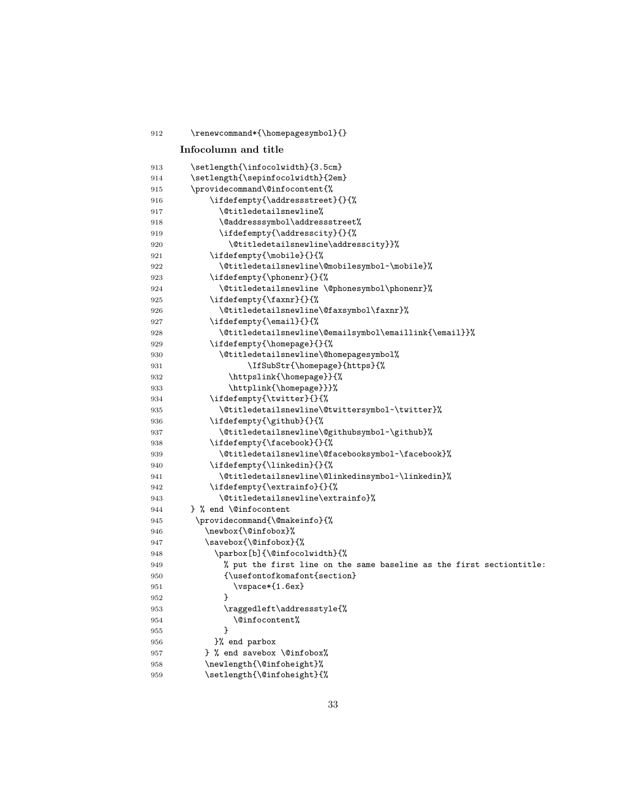| 912        | \renewcommand*{\homepagesymbol}{}                                               |
|------------|---------------------------------------------------------------------------------|
|            | Infocolumn and title                                                            |
| 913        | \setlength{\infocolwidth}{3.5cm}                                                |
| 914        | \setlength{\sepinfocolwidth}{2em}                                               |
| 915        | \providecommand\@infocontent{%                                                  |
| 916        | \ifdefempty{\addressstreet}{}{%                                                 |
| 917        | \@titledetailsnewline%                                                          |
| 918        | \@addresssymbol\addressstreet%                                                  |
| 919        | \ifdefempty{\addresscity}{}{%                                                   |
| 920        | \@titledetailsnewline\addresscity}}%                                            |
| 921        | \ifdefempty{\mobile}{}{%                                                        |
| 922        | \@titledetailsnewline\@mobilesymbol~\mobile}%                                   |
| 923        | \ifdefempty{\phonenr}{}{%                                                       |
| 924        | \@titledetailsnewline \@phonesymbol\phonenr}%                                   |
| 925        | \ifdefempty{\faxnr}{}{%                                                         |
| 926        | \@titledetailsnewline\@faxsymbol\faxnr}%                                        |
| 927        | \ifdefempty{\email}{}{%                                                         |
| 928        | \@titledetailsnewline\@emailsymbol\emaillink{\email}}%                          |
| 929        | \ifdefempty{\homepage}{}{%                                                      |
| 930        | \@titledetailsnewline\@homepagesymbol%                                          |
| 931        | \IfSubStr{\homepage}{https}{%                                                   |
| 932        | \httpslink{\homepage}}{%                                                        |
| 933        | \httplink{\homepage}}}%                                                         |
| 934        | \ifdefempty{\twitter}{}{%                                                       |
| 935        | \@titledetailsnewline\@twittersymbol~\twitter}%                                 |
| 936        | \ifdefempty{\github}{}{%                                                        |
| 937        | \@titledetailsnewline\@githubsymbol~\github}%                                   |
| 938<br>939 | \ifdefempty{\facebook}{}{%<br>\@titledetailsnewline\@facebooksymbol~\facebook}% |
| 940        | \ifdefempty{\linkedin}{}{%                                                      |
| 941        | \@titledetailsnewline\@linkedinsymbol~\linkedin}%                               |
| 942        | \ifdefempty{\extrainfo}{}{%                                                     |
| 943        | \@titledetailsnewline\extrainfo}%                                               |
| 944        | } % end \@infocontent                                                           |
| 945        | \providecommand{\@makeinfo}{%                                                   |
| 946        | \newbox{\@infobox}%                                                             |
| 947        | \savebox{\@infobox}{%                                                           |
| 948        | \parbox[b]{\@infocolwidth}{%                                                    |
| 949        | % put the first line on the same baseline as the first sectiontitle:            |
| 950        | {\usefontofkomafont{section}                                                    |
| 951        | \vspace*{1.6ex}                                                                 |
| 952        | ł                                                                               |
| 953        | \raggedleft\addressstyle{%                                                      |
| 954        | \@infocontent%                                                                  |
| 955        | }                                                                               |
| 956        | }% end parbox                                                                   |
| 957        | } % end savebox \@infobox%                                                      |
| 958        | \newlength{\@infoheight}%                                                       |
| 959        | \setlength{\@infoheight}{%                                                      |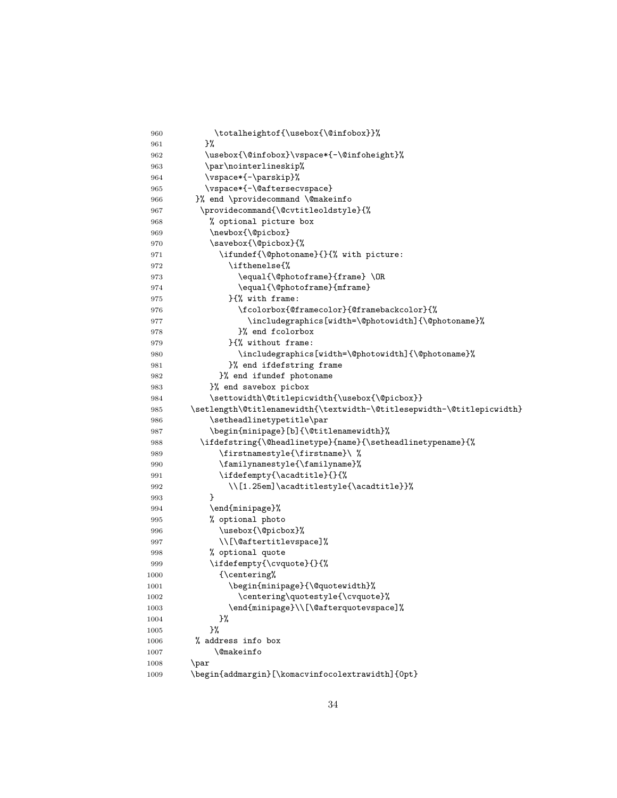| 960  | \totalheightof{\usebox{\@infobox}}%                                    |
|------|------------------------------------------------------------------------|
| 961  | }%                                                                     |
| 962  | \usebox{\@infobox}\vspace*{-\@infoheight}%                             |
| 963  | \par\nointerlineskip%                                                  |
| 964  | \vspace*{-\parskip}%                                                   |
| 965  | \vspace*{-\@aftersecvspace}                                            |
| 966  | }% end \providecommand \@makeinfo                                      |
| 967  | \providecommand{\@cvtitleoldstyle}{%                                   |
| 968  | % optional picture box                                                 |
| 969  | \newbox{\@picbox}                                                      |
| 970  | \savebox{\@picbox}{%                                                   |
| 971  | \ifundef{\@photoname}{}{% with picture:                                |
| 972  | \ifthenelse{%                                                          |
| 973  | \equal{\@photoframe}{frame}\OR                                         |
| 974  | \equal{\@photoframe}{mframe}                                           |
| 975  | H% with frame:                                                         |
| 976  | \fcolorbox{@framecolor}{@framebackcolor}{%                             |
| 977  | \includegraphics[width=\@photowidth]{\@photoname}%                     |
| 978  | }% end fcolorbox                                                       |
| 979  | H% without frame:                                                      |
| 980  | \includegraphics[width=\@photowidth]{\@photoname}%                     |
| 981  | }% end ifdefstring frame                                               |
| 982  | }% end ifundef photoname                                               |
| 983  | }% end savebox picbox                                                  |
| 984  | \settowidth\@titlepicwidth{\usebox{\@picbox}}                          |
| 985  | \setlength\@titlenamewidth{\textwidth-\@titlesepwidth-\@titlepicwidth} |
| 986  | \setheadlinetypetitle\par                                              |
| 987  | \begin{minipage}[b]{\@titlenamewidth}%                                 |
| 988  | \ifdefstring{\@headlinetype}{name}{\setheadlinetypename}{%             |
| 989  | \firstnamestyle{\firstname}\ %                                         |
| 990  | \familynamestyle{\familyname}%                                         |
| 991  | \ifdefempty{\acadtitle}{}{%                                            |
| 992  | \\[1.25em]\acadtitlestyle{\acadtitle}}%                                |
| 993  | }                                                                      |
| 994  | \end{minipage}%                                                        |
| 995  | % optional photo                                                       |
| 996  | \usebox{\@picbox}%                                                     |
| 997  | \\[\@aftertitlevspace]%                                                |
| 998  | % optional quote                                                       |
| 999  | \ifdefempty{\cvquote}{}{%                                              |
| 1000 | {\centering%                                                           |
| 1001 | \begin{minipage}{\@quotewidth}%                                        |
| 1002 | \centering\quotestyle{\cvquote}%                                       |
| 1003 | \end{minipage}\\[\@afterquotevspace]%                                  |
| 1004 | }%                                                                     |
| 1005 | }‰                                                                     |
| 1006 | % address info box                                                     |
| 1007 | \@makeinfo                                                             |
| 1008 | \par                                                                   |
| 1009 | \begin{addmargin}[\komacvinfocolextrawidth]{0pt}                       |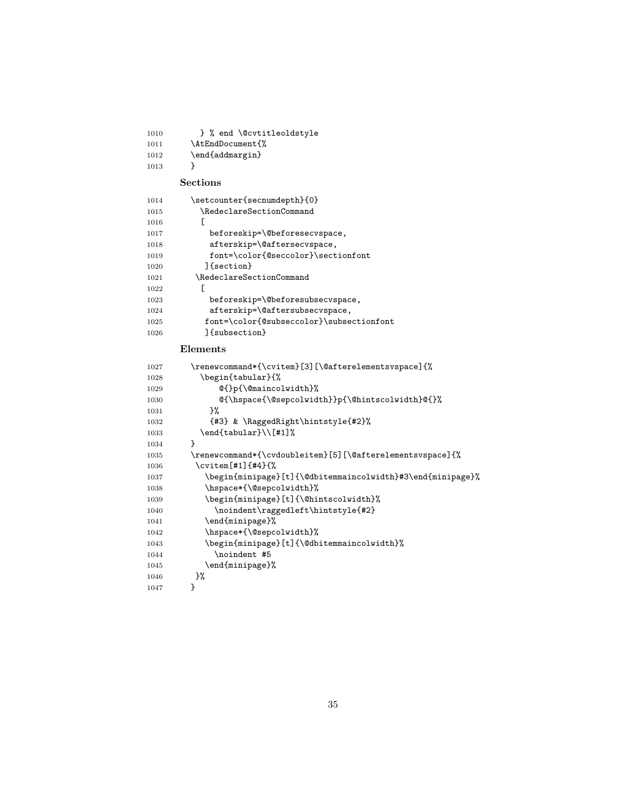| 1010 | } % end \@cvtitleoldstyle                                  |
|------|------------------------------------------------------------|
| 1011 | \AtEndDocument{%                                           |
| 1012 | \end{addmargin}                                            |
| 1013 | ł                                                          |
|      | Sections                                                   |
| 1014 | \setcounter{secnumdepth}{0}                                |
| 1015 | \RedeclareSectionCommand                                   |
| 1016 | L                                                          |
| 1017 | beforeskip=\@beforesecvspace,                              |
| 1018 | afterskip=\@aftersecvspace,                                |
| 1019 | font=\color{@seccolor}\sectionfont                         |
| 1020 | ]{section}                                                 |
| 1021 | \RedeclareSectionCommand                                   |
| 1022 | E                                                          |
| 1023 | beforeskip=\@beforesubsecvspace,                           |
| 1024 | afterskip=\@aftersubsecvspace,                             |
| 1025 | font=\color{@subseccolor}\subsectionfont                   |
| 1026 | lfsubsection}                                              |
|      | Elements                                                   |
| 1027 | \renewcommand*{\cvitem}[3][\@afterelementsvspace]{%        |
| 1028 | \begin{tabular}{%                                          |
| 1029 | @{}p{\@maincolwidth}%                                      |
| 1030 | @{\hspace{\@sepcolwidth}}p{\@hintscolwidth}@{}%            |
| 1031 | }%                                                         |
| 1032 | {#3} & \RaggedRight\hintstyle{#2}%                         |
| 1033 | \end{tabular}\\[#1]%                                       |
| 1034 | ł                                                          |
| 1035 | \renewcommand*{\cvdoubleitem}[5][\@afterelementsvspace]{%  |
| 1036 | \cvitem[#1]{#4}{%                                          |
| 1037 | \begin{minipage}[t]{\@dbitemmaincolwidth}#3\end{minipage}% |
| 1038 | \hspace*{\@sepcolwidth}%                                   |
| 1039 | \begin{minipage}[t]{\@hintscolwidth}%                      |
| 1040 | \noindent\raggedleft\hintstyle{#2}                         |
| 1041 | \end{minipage}%                                            |
| 1042 | \hspace*{\@sepcolwidth}%                                   |
| 1043 | \begin{minipage}[t]{\@dbitemmaincolwidth}%                 |
| 1044 | \noindent #5                                               |
| 1045 | \end{minipage}%                                            |
| 1046 |                                                            |
|      | }%<br>}                                                    |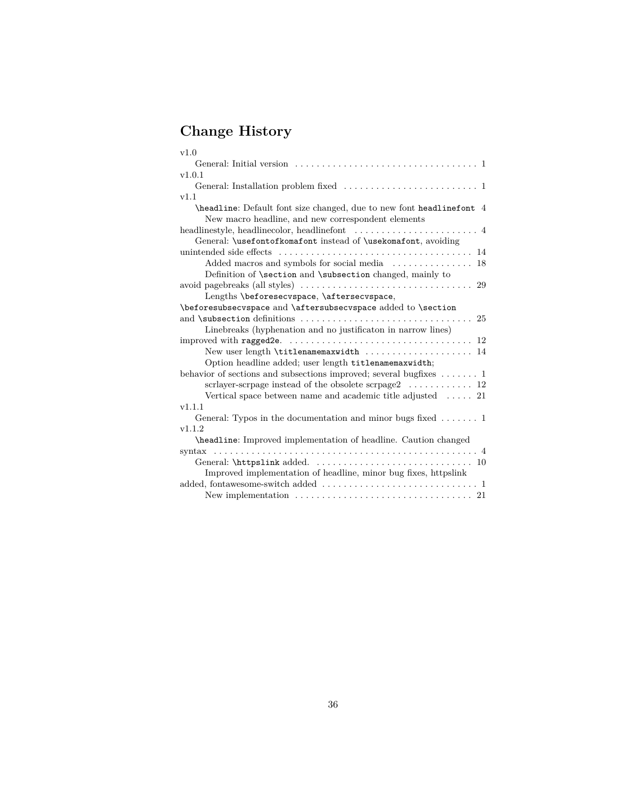# **Change History**

| v1.0                                                                                                                       |
|----------------------------------------------------------------------------------------------------------------------------|
|                                                                                                                            |
| v1.0.1                                                                                                                     |
|                                                                                                                            |
| v1.1                                                                                                                       |
| \headline: Default font size changed, due to new font headlinefont 4<br>New macro headline, and new correspondent elements |
|                                                                                                                            |
| General: \usefontofkomafont instead of \usekomafont, avoiding                                                              |
|                                                                                                                            |
|                                                                                                                            |
| Definition of \section and \subsection changed, mainly to                                                                  |
|                                                                                                                            |
| Lengths \beforesecvspace, \aftersecvspace,                                                                                 |
| \beforesubsecvspace and \aftersubsecvspace added to \section                                                               |
|                                                                                                                            |
| Linebreaks (hyphenation and no justification in narrow lines)                                                              |
| improved with ragged 2e. $\ldots \ldots \ldots \ldots \ldots \ldots \ldots \ldots \ldots \ldots \ldots 12$                 |
|                                                                                                                            |
| Option headline added; user length titlenamemaxwidth;                                                                      |
| behavior of sections and subsections improved; several bugfixes $\dots \dots 1$                                            |
| scrlayer-scrpage instead of the obsolete scrpage $2 \ldots \ldots \ldots 12$                                               |
| Vertical space between name and academic title adjusted $\ldots$ 21                                                        |
| v1.1.1                                                                                                                     |
| General: Typos in the documentation and minor bugs fixed $\dots \dots 1$                                                   |
| v1.1.2                                                                                                                     |
| \headline: Improved implementation of headline. Caution changed                                                            |
|                                                                                                                            |
|                                                                                                                            |
| Improved implementation of headline, minor bug fixes, httpslink                                                            |
|                                                                                                                            |
|                                                                                                                            |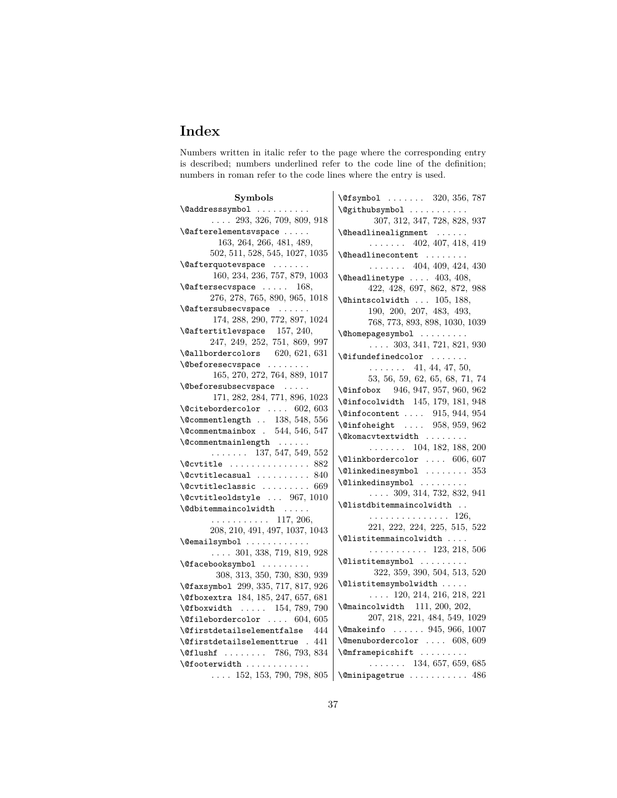# **Index**

Numbers written in italic refer to the page where the corresponding entry is described; numbers underlined refer to the code line of the definition; numbers in roman refer to the code lines where the entry is used.

| Symbols                                                           | \@fsymbol  320, 356, 787                      |
|-------------------------------------------------------------------|-----------------------------------------------|
| $\Diamond$ addresssymbol                                          | \@githubsymbol                                |
| $\ldots$ 293, 326, 709, 809, 918                                  | 307, 312, 347, 728, 828, 937                  |
| \@afterelementsvspace                                             | $\label{thm:Qheadlin}$ \@headlinealignment    |
| 163, 264, 266, 481, 489,                                          | $\ldots \ldots$ 402, 407, 418, 419            |
| 502, 511, 528, 545, 1027, 1035                                    | $\verb+\Qheadline+ content \dots .$           |
| $\setminus$ Cafterquotevspace                                     | $\ldots$ $\ldots$ 404, 409, 424, 430          |
| 160, 234, 236, 757, 879, 1003                                     | $\Lambda$ 403, 408,                           |
| $\setminus$ Caftersecvspace  168,                                 | 422, 428, 697, 862, 872, 988                  |
| 276, 278, 765, 890, 965, 1018                                     | \@hintscolwidth  105, 188,                    |
| \@aftersubsecvspace                                               | 190, 200, 207, 483, 493,                      |
| 174, 288, 290, 772, 897, 1024                                     | 768, 773, 893, 898, 1030, 1039                |
| $\text{\textbackslash}\mathsf{Q}$ aftertitlevspace $157,\,240,\,$ | \@homepagesymbol                              |
| 247, 249, 252, 751, 869, 997                                      | $\ldots$ 303, 341, 721, 821, 930              |
| $\Delta$ leallbordercolors 620, 621, 631                          | $\left\{ \circledcirc \right\}$               |
| \@beforesecvspace                                                 | $\ldots$ 41, 44, 47, 50,                      |
| 165, 270, 272, 764, 889, 1017                                     | 53, 56, 59, 62, 65, 68, 71, 74                |
| \@beforesubsecvspace                                              | \@infobox 946, 947, 957, 960, 962             |
| 171, 282, 284, 771, 896, 1023                                     | \@infocolwidth 145, 179, 181, 948             |
| $\setminus$ @citebordercolor  602, 603                            | $\langle$ Cinfocontent  915, 944, 954         |
| $\text{Qcommentlength}$ 138, 548, 556                             | \@infoheight  958, 959, 962                   |
| $\sqrt{$ Commentmainbox . 544, 546, 547                           | \@komacvtextwidth                             |
| $\text{Ccommentmainlength} \dots$                                 | $\ldots$ 104, 182, 188, 200                   |
| $\ldots \ldots 137, 547, 549, 552$                                | $\Delta$ linkbordercolor  606, 607            |
|                                                                   | $\text{Qlinkedinesymbol}$ 353                 |
| $\&$ Covtitle casual  840                                         |                                               |
| $\&$ Covtitleclassic  669                                         | \@linkedinsymbol                              |
| \@cvtitleoldstyle  967, 1010                                      | $\ldots$ 309, 314, 732, 832, 941              |
| \@dbitemmaincolwidth                                              | \@listdbitemmaincolwidth                      |
| . 117, 206,                                                       | . 126,                                        |
| 208, 210, 491, 497, 1037, 1043                                    | 221, 222, 224, 225, 515, 522                  |
| \@emailsymbol                                                     | $\verb+\Qlistitemmain+ column $               |
| $\ldots$ 301, 338, 719, 819, 928                                  | . 123, 218, 506                               |
| \@facebooksymbol                                                  | \@listitemsymbol                              |
| 308, 313, 350, 730, 830, 939                                      | 322, 359, 390, 504, 513, 520                  |
| \@faxsymbol 299, 335, 717, 817, 926                               | \@listitemsymbolwidth                         |
| \@fboxextra 184, 185, 247, 657, 681                               | $\ldots$ 120, 214, 216, 218, 221              |
| \@fboxwidth  154, 789, 790                                        | \@maincolwidth 111, 200, 202,                 |
| $\text{Officebordercolor} \dots \ 604, 605$                       | 207, 218, 221, 484, 549, 1029                 |
| \@firstdetailselementfalse 444                                    | \@makeinfo  945, 966, 1007                    |
| \@firstdetailselementtrue . 441                                   | $\verb \@menubordercolor   608, 609$          |
| \@flushf  786, 793, 834                                           | $\{\text{Omframepicshift} \dots \dots \dots$  |
| \@footerwidth                                                     | $\ldots \ldots 134, 657, 659, 685$            |
|                                                                   | 152, 153, 790, 798, 805   \@minipagetrue  486 |
|                                                                   |                                               |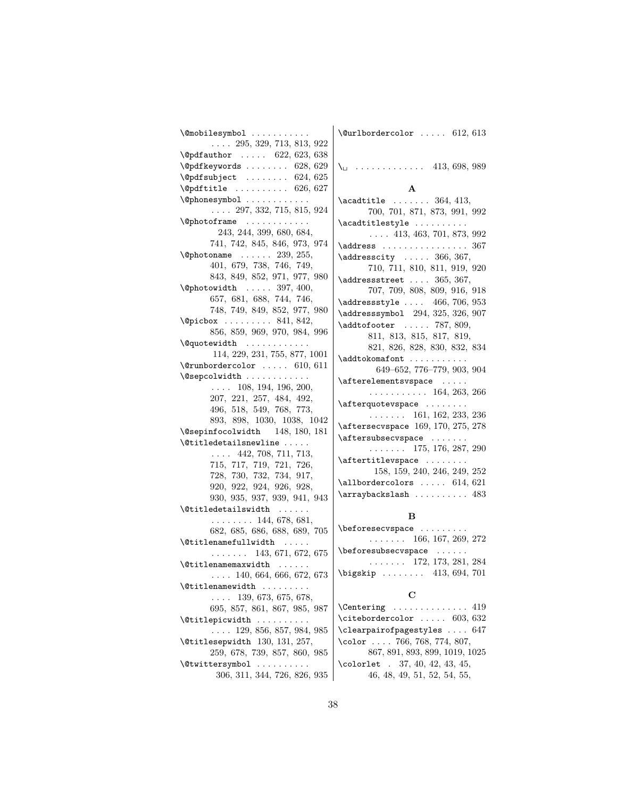| $\emptyset$ mobilesymbol                                                                                                                                                                     | $\text{Qur1bordercolor} \dots$ 612, 613        |
|----------------------------------------------------------------------------------------------------------------------------------------------------------------------------------------------|------------------------------------------------|
| $\ldots$ 295, 329, 713, 813, 922                                                                                                                                                             |                                                |
| $\qquad$ $\qquad \qquad 622, 623, 638$                                                                                                                                                       |                                                |
| $\qquad$ Qpdfkeywords  628, 629                                                                                                                                                              |                                                |
| $\qquad$ Qpdfsubject  624, 625                                                                                                                                                               |                                                |
| $\qquad$ $\qquad$ $\qquad$ 626, 627                                                                                                                                                          | A                                              |
| \@phonesymbol                                                                                                                                                                                | $\text{Acadtitle} \dots \dots \quad 364, 413,$ |
| $\ldots$ 297, 332, 715, 815, 924                                                                                                                                                             | 700, 701, 871, 873, 991, 992                   |
| $\emptyset$ photoframe                                                                                                                                                                       | $\acadtitlestyle  \ldots$                      |
| 243, 244, 399, 680, 684,                                                                                                                                                                     | $\ldots$ 413, 463, 701, 873, 992               |
| 741, 742, 845, 846, 973, 974                                                                                                                                                                 | $\ad$ ress  367                                |
| $\Phi$ 239, 255,                                                                                                                                                                             | $\ad$ resscity  366, 367,                      |
| 401, 679, 738, 746, 749,                                                                                                                                                                     | 710, 711, 810, 811, 919, 920                   |
| 843, 849, 852, 971, 977, 980                                                                                                                                                                 | $\ad$ ressstreet  365, 367,                    |
| $\Phi$ 397, 400,                                                                                                                                                                             | $707,\ 709,\ 808,\ 809,\ 916,\ 918$            |
| 657, 681, 688, 744, 746,                                                                                                                                                                     | $\ad$ ressstyle $\ldots$ 466, 706, 953         |
| 748, 749, 849, 852, 977, 980                                                                                                                                                                 | \addresssymbol 294, 325, 326, 907              |
| $\left\{ \Phi_1, \Phi_2, \ldots, \Phi_8, \Phi_9, \ldots, \Phi_{10}, \Phi_{11}, \Phi_{12}, \ldots, \Phi_{10}, \Phi_{11}, \Phi_{12}, \ldots, \Phi_{11}, \Phi_{12}, \ldots, \Phi_{1n} \right\}$ | $\addtofooter$ 787, 809,                       |
| 856, 859, 969, 970, 984, 996                                                                                                                                                                 | 811, 813, 815, 817, 819,                       |
| $\qquad$                                                                                                                                                                                     | 821, 826, 828, 830, 832, 834                   |
| 114, 229, 231, 755, 877, 1001                                                                                                                                                                | \addtokomafont                                 |
| $\verb \@runbordercolor  610, 611 $                                                                                                                                                          | 649-652, 776-779, 903, 904                     |
| \@sepcolwidth                                                                                                                                                                                | $\{\text{afterelements}$                       |
| $\ldots$ 108, 194, 196, 200,                                                                                                                                                                 | $\cdots \cdots \cdots \cdots 164, 263, 266$    |
| 207, 221, 257, 484, 492,<br>496, 518, 549, 768, 773,                                                                                                                                         | $\texttt{afterquotevspace} \dots \dots$        |
| 893, 898, 1030, 1038, 1042                                                                                                                                                                   | $\ldots \ldots 161, 162, 233, 236$             |
| \@sepinfocolwidth 148, 180, 181                                                                                                                                                              | \aftersecvspace 169, 170, 275, 278             |
| $\text{Qtitledetailsnewline} \dots$                                                                                                                                                          | \aftersubsecvspace                             |
| $\ldots$ 442, 708, 711, 713,                                                                                                                                                                 | $\ldots \ldots 175, 176, 287, 290$             |
| 715, 717, 719, 721, 726,                                                                                                                                                                     | $\{\text{attertitlevspace} \dots \dots \}$     |
| 728, 730, 732, 734, 917,                                                                                                                                                                     | 158, 159, 240, 246, 249, 252                   |
| 920, 922, 924, 926, 928,                                                                                                                                                                     | $\lambda$ 11bordercolors  614, 621             |
| 930, 935, 937, 939, 941, 943                                                                                                                                                                 | $\array$ backslash  483                        |
| \@titledetailswidth                                                                                                                                                                          |                                                |
| $\ldots \ldots \ldots 144, 678, 681,$                                                                                                                                                        | в                                              |
| 682, 685, 686, 688, 689, 705                                                                                                                                                                 | \beforesecvspace                               |
| \@titlenamefullwidth                                                                                                                                                                         | $\ldots \ldots 166, 167, 269, 272$             |
| $\ldots \ldots 143, 671, 672, 675$                                                                                                                                                           | $\begin{bmatrix} \n\end{bmatrix}$              |
|                                                                                                                                                                                              | $\ldots$ 172, 173, 281, 284                    |
| $\ldots$ 140, 664, 666, 672, 673                                                                                                                                                             | $\big\{\n  bigskip \dots 413, 694, 701\n $     |
| <i><b>\</b></i> Ctitlenamewidth<br>.                                                                                                                                                         |                                                |
| $\ldots$ 139, 673, 675, 678,                                                                                                                                                                 | С                                              |
| 695, 857, 861, 867, 985, 987                                                                                                                                                                 | $\Centering \ldots \ldots \ldots 419$          |
| $\setminus$ Ctitlepicwidth                                                                                                                                                                   | $\text{citebordercolor \dots 603, 632}$        |
| $\ldots$ 129, 856, 857, 984, 985                                                                                                                                                             | $\texttt{clearpairofpagestyles  } 647$         |
| $\text{\textbackslash}\mathfrak{C}$ titlesepwidth $130, 131, 257,$                                                                                                                           | \color  766, 768, 774, 807,                    |
| 259, 678, 739, 857, 860, 985                                                                                                                                                                 | 867, 891, 893, 899, 1019, 1025                 |
| \@twittersymbol                                                                                                                                                                              | $\text{1}$ colorlet . 37, 40, 42, 43, 45,      |
| 306, 311, 344, 726, 826, 935                                                                                                                                                                 | 46, 48, 49, 51, 52, 54, 55,                    |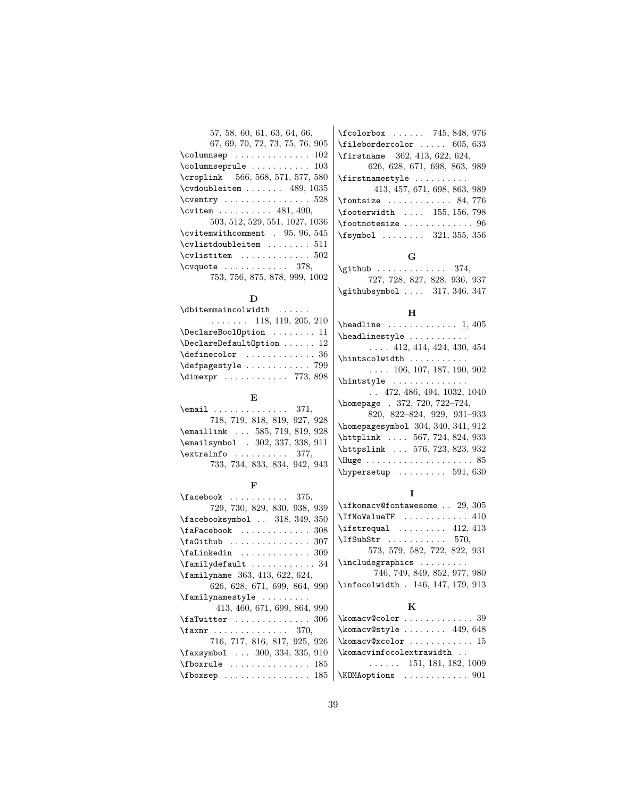| 57, 58, 60, 61, 63, 64, 66,                  |
|----------------------------------------------|
| 67, 69, 70, 72, 73, 75, 76, 905              |
| $\texttt{\textbackslash columnsep}$ $102$    |
| \columnseprule $\ldots \ldots \ldots \ 103$  |
| \croplink 566, 568, 571, 577, 580            |
| $\c{vdoubleitem   489, 1035}$                |
| $\text{Cventry}$ $528$                       |
| \cvitem $481, 490,$                          |
| 503, 512, 529, 551, 1027, 1036               |
| \cvitemwithcomment . 95, 96, 545             |
| $\verb \cvlistdoubleitem       511 $         |
| $\verb \cvlistitem   \dots \dots \dots 502 $ |
| $\c{vquote} \dots \dots \dots \ 378,$        |
| 753, 756, 875, 878, 999, 1002                |

**D**

#### **E**

| $\text{Remail} \dots \dots \dots \dots \dots 371,$ |
|----------------------------------------------------|
| 718, 719, 818, 819, 927, 928                       |
| $\text{Remaillink} \dots 585, 719, 819, 928$       |
| $\text{lemailsymbol}$ . 302, 337, 338, 911         |
| $\text{extrainfo} \dots \dots \quad 377,$          |
| 733, 734, 833, 834, 942, 943                       |

### **F**

| $\text{facebook} \dots \dots \dots \quad 375,$    |                                       |
|---------------------------------------------------|---------------------------------------|
| 729, 730, 829, 830, 938, 939                      | \ifkomacv@fontawesome  29, 305        |
| $\frac{\$349,350}{\$426}$ 318, 349, 350           | \IfNoValueTF  410                     |
| $\{\texttt{faFacebook} \dots \dots \dots \ 308\}$ | $\text{listrequal}$ 412, 413          |
| $\frac{307}{ }$                                   | $\Pi \text{SubStr}$ 570,              |
| $\Lambda$ inkedin  309                            | 573, 579, 582, 722, 822, 931          |
| $\{\text{familydefault} \dots \dots \dots \ 34\}$ |                                       |
| $\times$ familyname 363, 413, 622, 624,           | 746, 749, 849, 852, 977, 980          |
| 626, 628, 671, 699, 864, 990                      | \infocolwidth . 146, 147, 179, 913    |
| $\{\text{family} \}$                              |                                       |
| 413, 460, 671, 699, 864, 990                      | K                                     |
| $\texttt{aTwitter}$ 306                           | \komacv@color  39                     |
| $\{\texttt{faxnr} \dots \dots \dots \ 370,$       | $\kappa$ and $449,648$                |
| 716, 717, 816, 817, 925, 926                      | $\verb \komacy@xcolor  \dots 15 $     |
| \faxsymbol  300, 334, 335, 910                    | \komacvinfocolextrawidth              |
| $\forall$ fboxrule  185                           | $\ldots$ $\ldots$ 151, 181, 182, 1009 |
|                                                   | \KOMAoptions  901                     |

\fcolorbox . . . . . . 745, 848, 976  $\{filebordercolor \dots 605, 633\}$ \firstname 362, 413, 622, 624, 626, 628, 671, 698, 863, 989 \firstnamestyle . . . . . . . . . . 413, 457, 671, 698, 863, 989 \fontsize . . . . . . . . . . . . 84, 776  $\label{eq:footerwidth} \textbf{footerwidth} \quad \ldots \quad 155, \, 156, \, 798$  $\verb+\footnotesize+ case ... ... ... 96$ \fsymbol . . . . . . . . 321, 355, 356

#### **G**

 $\qquad \qquad$  . . . . . . . . . . . . . 374, 727, 728, 827, 828, 936, 937 \githubsymbol .... 317, 346, 347

#### **H**

| $\headline \ldots \ldots \ldots 1, 405$ |
|-----------------------------------------|
| \headlinestyle                          |
| $\ldots$ 412, 414, 424, 430, 454        |
| \hintscolwidth                          |
| $\ldots$ 106, 107, 187, 190, 902        |
|                                         |
| $\ldots$ 472, 486, 494, 1032, 1040      |
| \homepage . 372, 720, 722-724,          |
| 820, 822-824, 929, 931-933              |
| \homepagesymbol 304, 340, 341, 912      |
| \httplink  567, 724, 824, 933           |
| \httpslink  576, 723, 823, 932          |
|                                         |
| $\hbox{\texttt{hypersetup}}$ 591, 630   |
|                                         |

### **I**

| \ifkomacv@fontawesome  29, 305                                      |
|---------------------------------------------------------------------|
| \IfNoValueTF  410                                                   |
| $\text{listrequal}$ 412, 413                                        |
| $\left\{\text{If} \text{SubStr } \ldots \ldots \quad 570, \right\}$ |
| 573, 579, 582, 722, 822, 931                                        |
| \includegraphics                                                    |
| 746, 749, 849, 852, 977, 980                                        |
| \infocolwidth . 146, 147, 179, 913                                  |
|                                                                     |

#### **K**

| $\kappa v$ @style  449, 648           |
|---------------------------------------|
| $\komacy@xcolor$ 15                   |
| \komacvinfocolextrawidth              |
| $\ldots$ $\ldots$ 151, 181, 182, 1009 |
| \KOMA ontions 901                     |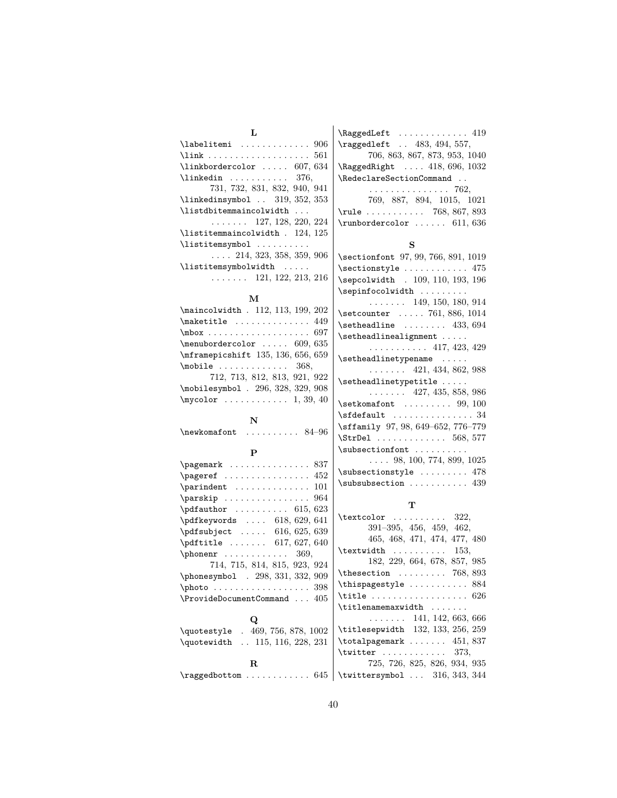| L                                                                                                                                                                                                                                                                                                                                            | \RaggedLeft  419                                                                  |
|----------------------------------------------------------------------------------------------------------------------------------------------------------------------------------------------------------------------------------------------------------------------------------------------------------------------------------------------|-----------------------------------------------------------------------------------|
| \labelitemi  906                                                                                                                                                                                                                                                                                                                             | \raggedleft  483, 494, 557,                                                       |
|                                                                                                                                                                                                                                                                                                                                              | 706, 863, 867, 873, 953, 1040                                                     |
| $\{linkbordercolor{\textbf{1}}\dots 607, 634$                                                                                                                                                                                                                                                                                                | $\lambda$ RaggedRight $418,696,1032$                                              |
| $\lambda$ inkedin  376,                                                                                                                                                                                                                                                                                                                      | \RedeclareSectionCommand                                                          |
| 731, 732, 831, 832, 940, 941                                                                                                                                                                                                                                                                                                                 | . 762,                                                                            |
| $\{linkedinsymbol$ 319, 352, 353                                                                                                                                                                                                                                                                                                             | 769, 887, 894, 1015, 1021                                                         |
| $\texttt{listdbitemmaincolwidth} \dots$                                                                                                                                                                                                                                                                                                      | $\text{rule} \ldots 768, 867, 893$                                                |
| $\ldots \ldots 127, 128, 220, 224$                                                                                                                                                                                                                                                                                                           | $\verb \runbordercolor611 , 636$                                                  |
| $\texttt{\texttt{l}is}$ istitemmain<br>colwidth . 124, 125                                                                                                                                                                                                                                                                                   |                                                                                   |
| \listitemsymbol                                                                                                                                                                                                                                                                                                                              | s                                                                                 |
| $\ldots$ 214, 323, 358, 359, 906                                                                                                                                                                                                                                                                                                             | \sectionfont 97, 99, 766, 891, 1019                                               |
| \listitemsymbolwidth                                                                                                                                                                                                                                                                                                                         | $\setminus$ sectionstyle  475                                                     |
| $\ldots$ 121, 122, 213, 216                                                                                                                                                                                                                                                                                                                  | \sepcolwidth . 109, 110, 193, 196                                                 |
|                                                                                                                                                                                                                                                                                                                                              | $\sepinfocolwidth$                                                                |
| м                                                                                                                                                                                                                                                                                                                                            | $\ldots$ 149, 150, 180, 914                                                       |
| \maincolwidth . 112, 113, 199, 202                                                                                                                                                                                                                                                                                                           | \setcounter  761, 886, 1014                                                       |
| $\mathcal{A}\$                                                                                                                                                                                                                                                                                                                               | $\setminus$ setheadline  433, 694                                                 |
|                                                                                                                                                                                                                                                                                                                                              | \setheadlinealignment                                                             |
| $\mbox{membordercolor 609, 635}$                                                                                                                                                                                                                                                                                                             | . 417, 423, 429                                                                   |
| \mframepicshift 135, 136, 656, 659                                                                                                                                                                                                                                                                                                           | \setheadlinetypename                                                              |
| $\text{mobile} \ldots \ldots \ldots \quad 368,$                                                                                                                                                                                                                                                                                              | $\ldots$ $\ldots$ 421, 434, 862, 988                                              |
| 712, 713, 812, 813, 921, 922                                                                                                                                                                                                                                                                                                                 | \setheadlinetypetitle                                                             |
| \mobilesymbol . 296, 328, 329, 908                                                                                                                                                                                                                                                                                                           | $\ldots \ldots 427, 435, 858, 986$                                                |
| $\m{\mbox{mycolor }} \ldots \ldots \ldots \mbox{1, 39, 40}$                                                                                                                                                                                                                                                                                  | $\setminus$ setkomafont  99, 100                                                  |
|                                                                                                                                                                                                                                                                                                                                              | $\setminus$ sfdefault  34                                                         |
| N                                                                                                                                                                                                                                                                                                                                            | \sffamily 97, 98, 649-652, 776-779                                                |
| $\label{eq:convex} $$ \newkomafont \dots \dots \enspace 84–96$                                                                                                                                                                                                                                                                               | $\{StrDel \dots \dots \dots \ 568, 577$                                           |
|                                                                                                                                                                                                                                                                                                                                              | $\subsectionfont$                                                                 |
| $\mathbf{P}$                                                                                                                                                                                                                                                                                                                                 | $\ldots$ 98, 100, 774, 899, 1025                                                  |
| $\text{pagemark} \dots \dots \dots \dots \dots \ 837$                                                                                                                                                                                                                                                                                        | \subsectionstyle  478                                                             |
| \pageref  452                                                                                                                                                                                                                                                                                                                                | $\s$ ubsubsection  439                                                            |
|                                                                                                                                                                                                                                                                                                                                              |                                                                                   |
| \parskip  964                                                                                                                                                                                                                                                                                                                                | т                                                                                 |
| $\ndfauthor \ldots \ldots \ldots \qquad 615, 623$                                                                                                                                                                                                                                                                                            | $\text{testcolor} \ldots \ldots \quad 322,$                                       |
| $\qquad \qquad \ldots \qquad 618, 629, 641$                                                                                                                                                                                                                                                                                                  | 391-395, 456, 459, 462,                                                           |
| \pdfsubject  616, 625, 639                                                                                                                                                                                                                                                                                                                   | 465, 468, 471, 474, 477, 480                                                      |
| \pdftitle  617, 627, 640                                                                                                                                                                                                                                                                                                                     | $\text{textwidth}$ 153,                                                           |
| $\phi$ . $\phi$ . $\phi$ . $\phi$ . $\phi$ . $\phi$ . $\phi$ . $\phi$ . $\phi$ . $\phi$ . $\phi$ . $\phi$ . $\phi$ . $\phi$ . $\phi$ . $\phi$ . $\phi$ . $\phi$ . $\phi$ . $\phi$ . $\phi$ . $\phi$ . $\phi$ . $\phi$ . $\phi$ . $\phi$ . $\phi$ . $\phi$ . $\phi$ . $\phi$ . $\phi$ . $\phi$ . $\phi$ . $\phi$ . $\phi$ . $\phi$ . $\phi$ . | 182, 229, 664, 678, 857, 985                                                      |
| 714, 715, 814, 815, 923, 924                                                                                                                                                                                                                                                                                                                 |                                                                                   |
| \phonesymbol . 298, 331, 332, 909                                                                                                                                                                                                                                                                                                            |                                                                                   |
| $\phi \ldots \ldots \ldots \ldots 398$                                                                                                                                                                                                                                                                                                       | $\th is page style$ $884$<br>$\texttt{title} \dots \dots \dots \dots \dots \ 626$ |
| $\verb+\ProvideDocumentCommand  405$                                                                                                                                                                                                                                                                                                         | \titlenamemaxwidth                                                                |
|                                                                                                                                                                                                                                                                                                                                              |                                                                                   |
| Q                                                                                                                                                                                                                                                                                                                                            | $\ldots$ 141, 142, 663, 666                                                       |
| \quotestyle . 469, 756, 878, 1002                                                                                                                                                                                                                                                                                                            | \titlesepwidth 132, 133, 256, 259                                                 |
| \quotewidth  115, 116, 228, 231                                                                                                                                                                                                                                                                                                              | $\texttt{\texttt{total}}$ ,  451, 837                                             |
|                                                                                                                                                                                                                                                                                                                                              | $\text{twitter}$ 373,                                                             |
| $\mathbf R$                                                                                                                                                                                                                                                                                                                                  | 725, 726, 825, 826, 934, 935                                                      |
| $\{ragedbottom \dots \dots \dots \ 645$                                                                                                                                                                                                                                                                                                      | \twittersymbol  316, 343, 344                                                     |